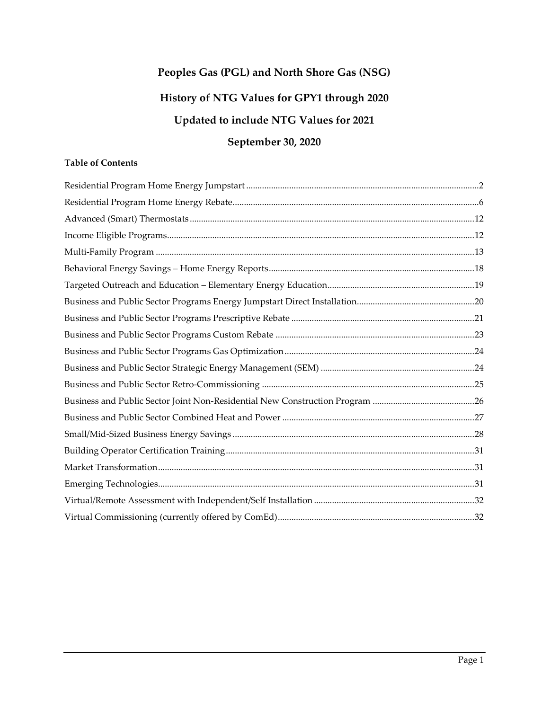# **Peoples Gas (PGL) and North Shore Gas (NSG) History of NTG Values for GPY1 through 2020 Updated to include NTG Values for 2021**

# **September 30, 2020**

# **Table of Contents**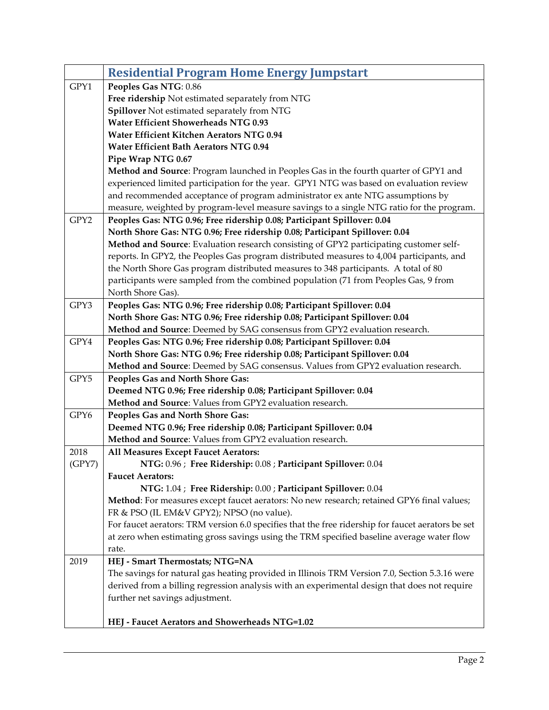<span id="page-1-0"></span>

|        | <b>Residential Program Home Energy Jumpstart</b>                                                  |
|--------|---------------------------------------------------------------------------------------------------|
| GPY1   | Peoples Gas NTG: 0.86                                                                             |
|        | Free ridership Not estimated separately from NTG                                                  |
|        | Spillover Not estimated separately from NTG                                                       |
|        | <b>Water Efficient Showerheads NTG 0.93</b>                                                       |
|        | Water Efficient Kitchen Aerators NTG 0.94                                                         |
|        | Water Efficient Bath Aerators NTG 0.94                                                            |
|        | Pipe Wrap NTG 0.67                                                                                |
|        | Method and Source: Program launched in Peoples Gas in the fourth quarter of GPY1 and              |
|        | experienced limited participation for the year. GPY1 NTG was based on evaluation review           |
|        | and recommended acceptance of program administrator ex ante NTG assumptions by                    |
|        | measure, weighted by program-level measure savings to a single NTG ratio for the program.         |
| GPY2   | Peoples Gas: NTG 0.96; Free ridership 0.08; Participant Spillover: 0.04                           |
|        | North Shore Gas: NTG 0.96; Free ridership 0.08; Participant Spillover: 0.04                       |
|        | Method and Source: Evaluation research consisting of GPY2 participating customer self-            |
|        | reports. In GPY2, the Peoples Gas program distributed measures to 4,004 participants, and         |
|        | the North Shore Gas program distributed measures to 348 participants. A total of 80               |
|        | participants were sampled from the combined population (71 from Peoples Gas, 9 from               |
|        | North Shore Gas).                                                                                 |
| GPY3   | Peoples Gas: NTG 0.96; Free ridership 0.08; Participant Spillover: 0.04                           |
|        | North Shore Gas: NTG 0.96; Free ridership 0.08; Participant Spillover: 0.04                       |
|        | Method and Source: Deemed by SAG consensus from GPY2 evaluation research.                         |
| GPY4   | Peoples Gas: NTG 0.96; Free ridership 0.08; Participant Spillover: 0.04                           |
|        | North Shore Gas: NTG 0.96; Free ridership 0.08; Participant Spillover: 0.04                       |
|        | Method and Source: Deemed by SAG consensus. Values from GPY2 evaluation research.                 |
| GPY5   | Peoples Gas and North Shore Gas:                                                                  |
|        | Deemed NTG 0.96; Free ridership 0.08; Participant Spillover: 0.04                                 |
|        | Method and Source: Values from GPY2 evaluation research.                                          |
| GPY6   | Peoples Gas and North Shore Gas:                                                                  |
|        | Deemed NTG 0.96; Free ridership 0.08; Participant Spillover: 0.04                                 |
|        | Method and Source: Values from GPY2 evaluation research.                                          |
| 2018   | All Measures Except Faucet Aerators:                                                              |
| (GPY7) | NTG: 0.96 ; Free Ridership: 0.08 ; Participant Spillover: 0.04                                    |
|        | <b>Faucet Aerators:</b>                                                                           |
|        | NTG: 1.04 ; Free Ridership: 0.00 ; Participant Spillover: 0.04                                    |
|        | Method: For measures except faucet aerators: No new research; retained GPY6 final values;         |
|        | FR & PSO (IL EM&V GPY2); NPSO (no value).                                                         |
|        | For faucet aerators: TRM version 6.0 specifies that the free ridership for faucet aerators be set |
|        | at zero when estimating gross savings using the TRM specified baseline average water flow         |
|        | rate.                                                                                             |
| 2019   | HEJ - Smart Thermostats; NTG=NA                                                                   |
|        | The savings for natural gas heating provided in Illinois TRM Version 7.0, Section 5.3.16 were     |
|        | derived from a billing regression analysis with an experimental design that does not require      |
|        | further net savings adjustment.                                                                   |
|        |                                                                                                   |
|        | HEJ - Faucet Aerators and Showerheads NTG=1.02                                                    |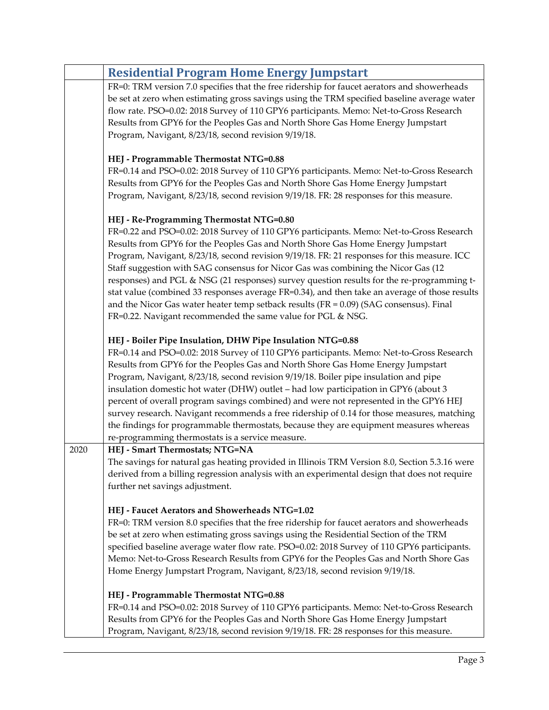|      | <b>Residential Program Home Energy Jumpstart</b>                                                                                                                                                                                                                                                                                                                                                                                                                                                                                                                                                                                                                                                                                                                    |
|------|---------------------------------------------------------------------------------------------------------------------------------------------------------------------------------------------------------------------------------------------------------------------------------------------------------------------------------------------------------------------------------------------------------------------------------------------------------------------------------------------------------------------------------------------------------------------------------------------------------------------------------------------------------------------------------------------------------------------------------------------------------------------|
|      | FR=0: TRM version 7.0 specifies that the free ridership for faucet aerators and showerheads<br>be set at zero when estimating gross savings using the TRM specified baseline average water<br>flow rate. PSO=0.02: 2018 Survey of 110 GPY6 participants. Memo: Net-to-Gross Research<br>Results from GPY6 for the Peoples Gas and North Shore Gas Home Energy Jumpstart<br>Program, Navigant, 8/23/18, second revision 9/19/18.                                                                                                                                                                                                                                                                                                                                     |
|      | HEJ - Programmable Thermostat NTG=0.88<br>FR=0.14 and PSO=0.02: 2018 Survey of 110 GPY6 participants. Memo: Net-to-Gross Research<br>Results from GPY6 for the Peoples Gas and North Shore Gas Home Energy Jumpstart<br>Program, Navigant, 8/23/18, second revision 9/19/18. FR: 28 responses for this measure.                                                                                                                                                                                                                                                                                                                                                                                                                                                     |
|      | HEJ - Re-Programming Thermostat NTG=0.80<br>FR=0.22 and PSO=0.02: 2018 Survey of 110 GPY6 participants. Memo: Net-to-Gross Research<br>Results from GPY6 for the Peoples Gas and North Shore Gas Home Energy Jumpstart<br>Program, Navigant, 8/23/18, second revision 9/19/18. FR: 21 responses for this measure. ICC<br>Staff suggestion with SAG consensus for Nicor Gas was combining the Nicor Gas (12<br>responses) and PGL & NSG (21 responses) survey question results for the re-programming t-<br>stat value (combined 33 responses average FR=0.34), and then take an average of those results<br>and the Nicor Gas water heater temp setback results $(FR = 0.09)$ (SAG consensus). Final<br>FR=0.22. Navigant recommended the same value for PGL & NSG. |
|      | HEJ - Boiler Pipe Insulation, DHW Pipe Insulation NTG=0.88<br>FR=0.14 and PSO=0.02: 2018 Survey of 110 GPY6 participants. Memo: Net-to-Gross Research<br>Results from GPY6 for the Peoples Gas and North Shore Gas Home Energy Jumpstart<br>Program, Navigant, 8/23/18, second revision 9/19/18. Boiler pipe insulation and pipe<br>insulation domestic hot water (DHW) outlet - had low participation in GPY6 (about 3<br>percent of overall program savings combined) and were not represented in the GPY6 HEJ<br>survey research. Navigant recommends a free ridership of 0.14 for those measures, matching<br>the findings for programmable thermostats, because they are equipment measures whereas<br>re-programming thermostats is a service measure.        |
| 2020 | HEJ - Smart Thermostats; NTG=NA<br>The savings for natural gas heating provided in Illinois TRM Version 8.0, Section 5.3.16 were<br>derived from a billing regression analysis with an experimental design that does not require<br>further net savings adjustment.                                                                                                                                                                                                                                                                                                                                                                                                                                                                                                 |
|      | HEJ - Faucet Aerators and Showerheads NTG=1.02<br>FR=0: TRM version 8.0 specifies that the free ridership for faucet aerators and showerheads<br>be set at zero when estimating gross savings using the Residential Section of the TRM<br>specified baseline average water flow rate. PSO=0.02: 2018 Survey of 110 GPY6 participants.<br>Memo: Net-to-Gross Research Results from GPY6 for the Peoples Gas and North Shore Gas<br>Home Energy Jumpstart Program, Navigant, 8/23/18, second revision 9/19/18.                                                                                                                                                                                                                                                        |
|      | HEJ - Programmable Thermostat NTG=0.88<br>FR=0.14 and PSO=0.02: 2018 Survey of 110 GPY6 participants. Memo: Net-to-Gross Research<br>Results from GPY6 for the Peoples Gas and North Shore Gas Home Energy Jumpstart<br>Program, Navigant, 8/23/18, second revision 9/19/18. FR: 28 responses for this measure.                                                                                                                                                                                                                                                                                                                                                                                                                                                     |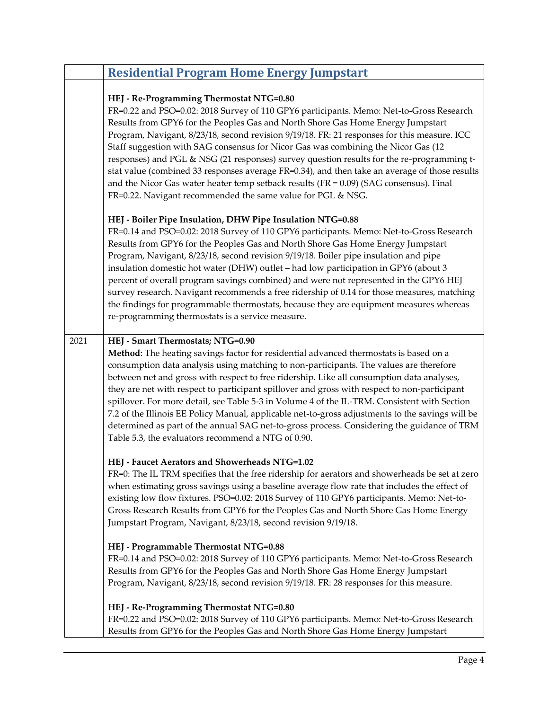|      | <b>Residential Program Home Energy Jumpstart</b>                                                                                                                                                                                                                                                                                                                                                                                                                                                                                                                                                                                                                                                                                                                          |
|------|---------------------------------------------------------------------------------------------------------------------------------------------------------------------------------------------------------------------------------------------------------------------------------------------------------------------------------------------------------------------------------------------------------------------------------------------------------------------------------------------------------------------------------------------------------------------------------------------------------------------------------------------------------------------------------------------------------------------------------------------------------------------------|
|      | HEJ - Re-Programming Thermostat NTG=0.80<br>FR=0.22 and PSO=0.02: 2018 Survey of 110 GPY6 participants. Memo: Net-to-Gross Research<br>Results from GPY6 for the Peoples Gas and North Shore Gas Home Energy Jumpstart<br>Program, Navigant, 8/23/18, second revision 9/19/18. FR: 21 responses for this measure. ICC<br>Staff suggestion with SAG consensus for Nicor Gas was combining the Nicor Gas (12<br>responses) and PGL & NSG (21 responses) survey question results for the re-programming t-<br>stat value (combined 33 responses average FR=0.34), and then take an average of those results<br>and the Nicor Gas water heater temp setback results ( $FR = 0.09$ ) (SAG consensus). Final<br>FR=0.22. Navigant recommended the same value for PGL & NSG.     |
|      | HEJ - Boiler Pipe Insulation, DHW Pipe Insulation NTG=0.88<br>FR=0.14 and PSO=0.02: 2018 Survey of 110 GPY6 participants. Memo: Net-to-Gross Research<br>Results from GPY6 for the Peoples Gas and North Shore Gas Home Energy Jumpstart<br>Program, Navigant, 8/23/18, second revision 9/19/18. Boiler pipe insulation and pipe<br>insulation domestic hot water (DHW) outlet - had low participation in GPY6 (about 3<br>percent of overall program savings combined) and were not represented in the GPY6 HEJ<br>survey research. Navigant recommends a free ridership of 0.14 for those measures, matching<br>the findings for programmable thermostats, because they are equipment measures whereas<br>re-programming thermostats is a service measure.              |
| 2021 | HEJ - Smart Thermostats; NTG=0.90<br>Method: The heating savings factor for residential advanced thermostats is based on a<br>consumption data analysis using matching to non-participants. The values are therefore<br>between net and gross with respect to free ridership. Like all consumption data analyses,<br>they are net with respect to participant spillover and gross with respect to non-participant<br>spillover. For more detail, see Table 5-3 in Volume 4 of the IL-TRM. Consistent with Section<br>7.2 of the Illinois EE Policy Manual, applicable net-to-gross adjustments to the savings will be<br>determined as part of the annual SAG net-to-gross process. Considering the guidance of TRM<br>Table 5.3, the evaluators recommend a NTG of 0.90. |
|      | HEJ - Faucet Aerators and Showerheads NTG=1.02<br>FR=0: The IL TRM specifies that the free ridership for aerators and showerheads be set at zero<br>when estimating gross savings using a baseline average flow rate that includes the effect of<br>existing low flow fixtures. PSO=0.02: 2018 Survey of 110 GPY6 participants. Memo: Net-to-<br>Gross Research Results from GPY6 for the Peoples Gas and North Shore Gas Home Energy<br>Jumpstart Program, Navigant, 8/23/18, second revision 9/19/18.                                                                                                                                                                                                                                                                   |
|      | HEJ - Programmable Thermostat NTG=0.88<br>FR=0.14 and PSO=0.02: 2018 Survey of 110 GPY6 participants. Memo: Net-to-Gross Research<br>Results from GPY6 for the Peoples Gas and North Shore Gas Home Energy Jumpstart<br>Program, Navigant, 8/23/18, second revision 9/19/18. FR: 28 responses for this measure.                                                                                                                                                                                                                                                                                                                                                                                                                                                           |
|      | HEJ - Re-Programming Thermostat NTG=0.80<br>FR=0.22 and PSO=0.02: 2018 Survey of 110 GPY6 participants. Memo: Net-to-Gross Research<br>Results from GPY6 for the Peoples Gas and North Shore Gas Home Energy Jumpstart                                                                                                                                                                                                                                                                                                                                                                                                                                                                                                                                                    |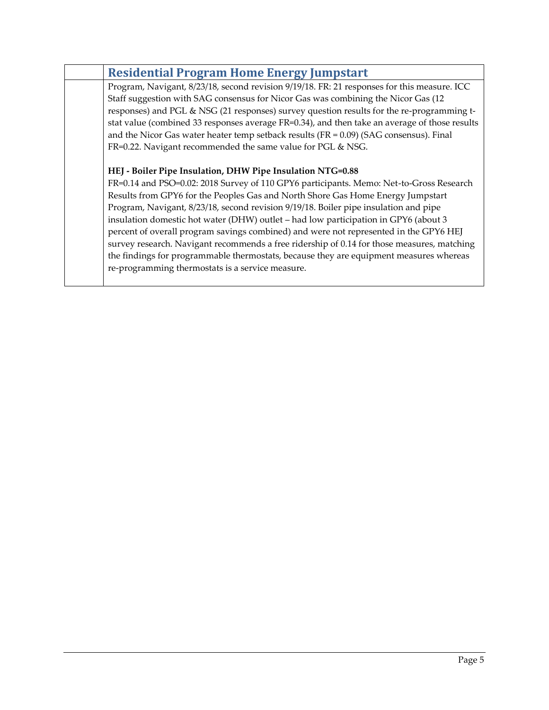| <b>Residential Program Home Energy Jumpstart</b>                                              |
|-----------------------------------------------------------------------------------------------|
| Program, Navigant, 8/23/18, second revision 9/19/18. FR: 21 responses for this measure. ICC   |
| Staff suggestion with SAG consensus for Nicor Gas was combining the Nicor Gas (12)            |
| responses) and PGL & NSG (21 responses) survey question results for the re-programming t-     |
| stat value (combined 33 responses average FR=0.34), and then take an average of those results |
| and the Nicor Gas water heater temp setback results ( $FR = 0.09$ ) (SAG consensus). Final    |
| FR=0.22. Navigant recommended the same value for PGL & NSG.                                   |
|                                                                                               |
| HEJ - Boiler Pipe Insulation, DHW Pipe Insulation NTG=0.88                                    |
| FR=0.14 and PSO=0.02: 2018 Survey of 110 GPY6 participants. Memo: Net-to-Gross Research       |
| Results from GPY6 for the Peoples Gas and North Shore Gas Home Energy Jumpstart               |
| Program, Navigant, 8/23/18, second revision 9/19/18. Boiler pipe insulation and pipe          |
| insulation domestic hot water (DHW) outlet - had low participation in GPY6 (about 3           |
| percent of overall program savings combined) and were not represented in the GPY6 HEJ         |
| survey research. Navigant recommends a free ridership of 0.14 for those measures, matching    |
| the findings for programmable thermostats, because they are equipment measures whereas        |
| re-programming thermostats is a service measure.                                              |
|                                                                                               |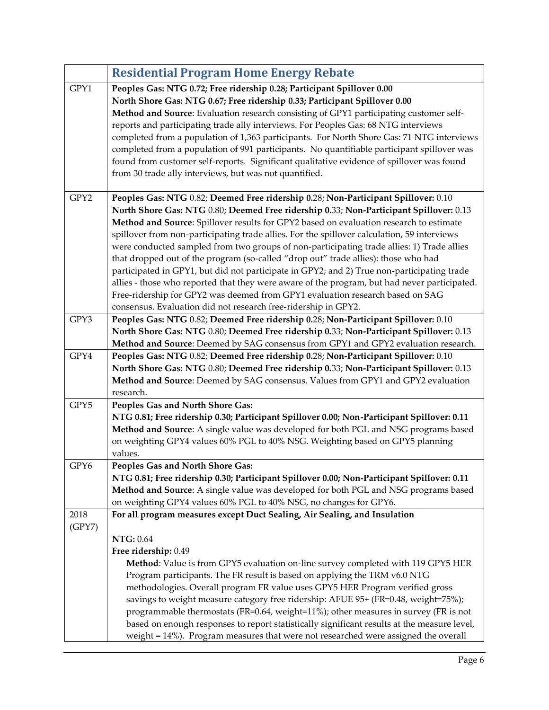<span id="page-5-0"></span>

|                | <b>Residential Program Home Energy Rebate</b>                                                                                                                                                                                                                                                                                                                                                                                                                                                                                                                                                                                                                                                                                                                                                                                                                                                             |
|----------------|-----------------------------------------------------------------------------------------------------------------------------------------------------------------------------------------------------------------------------------------------------------------------------------------------------------------------------------------------------------------------------------------------------------------------------------------------------------------------------------------------------------------------------------------------------------------------------------------------------------------------------------------------------------------------------------------------------------------------------------------------------------------------------------------------------------------------------------------------------------------------------------------------------------|
| GPY1           | Peoples Gas: NTG 0.72; Free ridership 0.28; Participant Spillover 0.00<br>North Shore Gas: NTG 0.67; Free ridership 0.33; Participant Spillover 0.00<br>Method and Source: Evaluation research consisting of GPY1 participating customer self-<br>reports and participating trade ally interviews. For Peoples Gas: 68 NTG interviews<br>completed from a population of 1,363 participants. For North Shore Gas: 71 NTG interviews<br>completed from a population of 991 participants. No quantifiable participant spillover was<br>found from customer self-reports. Significant qualitative evidence of spillover was found<br>from 30 trade ally interviews, but was not quantified.                                                                                                                                                                                                                   |
| GPY2           | Peoples Gas: NTG 0.82; Deemed Free ridership 0.28; Non-Participant Spillover: 0.10<br>North Shore Gas: NTG 0.80; Deemed Free ridership 0.33; Non-Participant Spillover: 0.13<br>Method and Source: Spillover results for GPY2 based on evaluation research to estimate<br>spillover from non-participating trade allies. For the spillover calculation, 59 interviews<br>were conducted sampled from two groups of non-participating trade allies: 1) Trade allies<br>that dropped out of the program (so-called "drop out" trade allies): those who had<br>participated in GPY1, but did not participate in GPY2; and 2) True non-participating trade<br>allies - those who reported that they were aware of the program, but had never participated.<br>Free-ridership for GPY2 was deemed from GPY1 evaluation research based on SAG<br>consensus. Evaluation did not research free-ridership in GPY2. |
| GPY3           | Peoples Gas: NTG 0.82; Deemed Free ridership 0.28; Non-Participant Spillover: 0.10<br>North Shore Gas: NTG 0.80; Deemed Free ridership 0.33; Non-Participant Spillover: 0.13<br>Method and Source: Deemed by SAG consensus from GPY1 and GPY2 evaluation research.                                                                                                                                                                                                                                                                                                                                                                                                                                                                                                                                                                                                                                        |
| GPY4           | Peoples Gas: NTG 0.82; Deemed Free ridership 0.28; Non-Participant Spillover: 0.10<br>North Shore Gas: NTG 0.80; Deemed Free ridership 0.33; Non-Participant Spillover: 0.13<br>Method and Source: Deemed by SAG consensus. Values from GPY1 and GPY2 evaluation<br>research.                                                                                                                                                                                                                                                                                                                                                                                                                                                                                                                                                                                                                             |
| GPY5           | Peoples Gas and North Shore Gas:<br>NTG 0.81; Free ridership 0.30; Participant Spillover 0.00; Non-Participant Spillover: 0.11<br>Method and Source: A single value was developed for both PGL and NSG programs based<br>on weighting GPY4 values 60% PGL to 40% NSG. Weighting based on GPY5 planning<br>values.                                                                                                                                                                                                                                                                                                                                                                                                                                                                                                                                                                                         |
| GPY6           | Peoples Gas and North Shore Gas:<br>NTG 0.81; Free ridership 0.30; Participant Spillover 0.00; Non-Participant Spillover: 0.11<br>Method and Source: A single value was developed for both PGL and NSG programs based<br>on weighting GPY4 values 60% PGL to 40% NSG, no changes for GPY6.                                                                                                                                                                                                                                                                                                                                                                                                                                                                                                                                                                                                                |
| 2018<br>(GPY7) | For all program measures except Duct Sealing, Air Sealing, and Insulation                                                                                                                                                                                                                                                                                                                                                                                                                                                                                                                                                                                                                                                                                                                                                                                                                                 |
|                | <b>NTG: 0.64</b><br>Free ridership: 0.49<br>Method: Value is from GPY5 evaluation on-line survey completed with 119 GPY5 HER<br>Program participants. The FR result is based on applying the TRM v6.0 NTG<br>methodologies. Overall program FR value uses GPY5 HER Program verified gross<br>savings to weight measure category free ridership: AFUE 95+ (FR=0.48, weight=75%);<br>programmable thermostats (FR=0.64, weight=11%); other measures in survey (FR is not<br>based on enough responses to report statistically significant results at the measure level,<br>weight = 14%). Program measures that were not researched were assigned the overall                                                                                                                                                                                                                                               |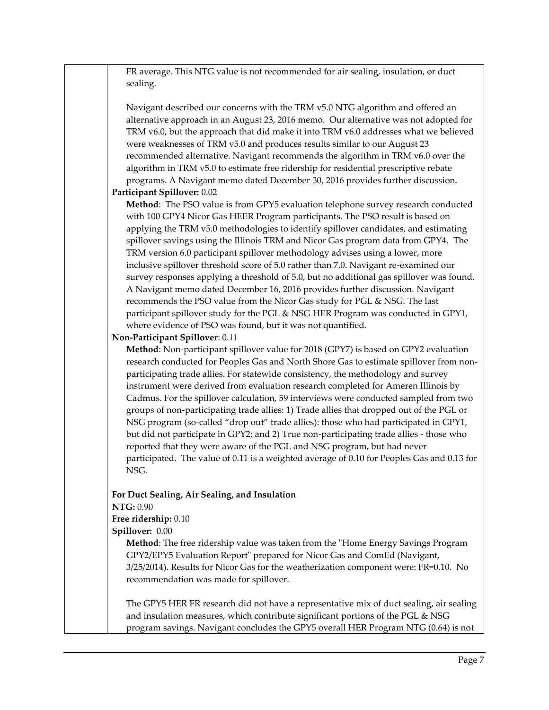FR average. This NTG value is not recommended for air sealing, insulation, or duct sealing.

Navigant described our concerns with the TRM v5.0 NTG algorithm and offered an alternative approach in an August 23, 2016 memo. Our alternative was not adopted for TRM v6.0, but the approach that did make it into TRM v6.0 addresses what we believed were weaknesses of TRM v5.0 and produces results similar to our August 23 recommended alternative. Navigant recommends the algorithm in TRM v6.0 over the algorithm in TRM v5.0 to estimate free ridership for residential prescriptive rebate programs. A Navigant memo dated December 30, 2016 provides further discussion.

### **Participant Spillover:** 0.02

**Method**: The PSO value is from GPY5 evaluation telephone survey research conducted with 100 GPY4 Nicor Gas HEER Program participants. The PSO result is based on applying the TRM v5.0 methodologies to identify spillover candidates, and estimating spillover savings using the Illinois TRM and Nicor Gas program data from GPY4. The TRM version 6.0 participant spillover methodology advises using a lower, more inclusive spillover threshold score of 5.0 rather than 7.0. Navigant re-examined our survey responses applying a threshold of 5.0, but no additional gas spillover was found. A Navigant memo dated December 16, 2016 provides further discussion. Navigant recommends the PSO value from the Nicor Gas study for PGL & NSG. The last participant spillover study for the PGL & NSG HER Program was conducted in GPY1, where evidence of PSO was found, but it was not quantified.

#### **Non-Participant Spillover**: 0.11

**Method**: Non-participant spillover value for 2018 (GPY7) is based on GPY2 evaluation research conducted for Peoples Gas and North Shore Gas to estimate spillover from nonparticipating trade allies. For statewide consistency, the methodology and survey instrument were derived from evaluation research completed for Ameren Illinois by Cadmus. For the spillover calculation, 59 interviews were conducted sampled from two groups of non-participating trade allies: 1) Trade allies that dropped out of the PGL or NSG program (so-called "drop out" trade allies): those who had participated in GPY1, but did not participate in GPY2; and 2) True non-participating trade allies - those who reported that they were aware of the PGL and NSG program, but had never participated. The value of 0.11 is a weighted average of 0.10 for Peoples Gas and 0.13 for NSG.

## **For Duct Sealing, Air Sealing, and Insulation**

**NTG:** 0.90

#### **Free ridership:** 0.10

**Spillover:** 0.00

**Method**: The free ridership value was taken from the "Home Energy Savings Program GPY2/EPY5 Evaluation Report" prepared for Nicor Gas and ComEd (Navigant, 3/25/2014). Results for Nicor Gas for the weatherization component were: FR=0.10. No recommendation was made for spillover.

The GPY5 HER FR research did not have a representative mix of duct sealing, air sealing and insulation measures, which contribute significant portions of the PGL & NSG program savings. Navigant concludes the GPY5 overall HER Program NTG (0.64) is not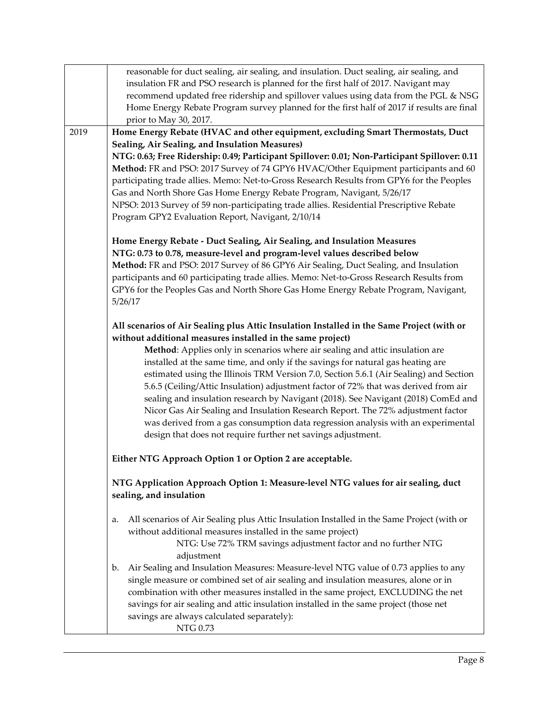|      | reasonable for duct sealing, air sealing, and insulation. Duct sealing, air sealing, and<br>insulation FR and PSO research is planned for the first half of 2017. Navigant may |
|------|--------------------------------------------------------------------------------------------------------------------------------------------------------------------------------|
|      | recommend updated free ridership and spillover values using data from the PGL & NSG                                                                                            |
|      | Home Energy Rebate Program survey planned for the first half of 2017 if results are final                                                                                      |
|      | prior to May 30, 2017.                                                                                                                                                         |
| 2019 | Home Energy Rebate (HVAC and other equipment, excluding Smart Thermostats, Duct                                                                                                |
|      | Sealing, Air Sealing, and Insulation Measures)<br>NTG: 0.63; Free Ridership: 0.49; Participant Spillover: 0.01; Non-Participant Spillover: 0.11                                |
|      | Method: FR and PSO: 2017 Survey of 74 GPY6 HVAC/Other Equipment participants and 60                                                                                            |
|      | participating trade allies. Memo: Net-to-Gross Research Results from GPY6 for the Peoples                                                                                      |
|      | Gas and North Shore Gas Home Energy Rebate Program, Navigant, 5/26/17                                                                                                          |
|      | NPSO: 2013 Survey of 59 non-participating trade allies. Residential Prescriptive Rebate                                                                                        |
|      | Program GPY2 Evaluation Report, Navigant, 2/10/14                                                                                                                              |
|      | Home Energy Rebate - Duct Sealing, Air Sealing, and Insulation Measures                                                                                                        |
|      | NTG: 0.73 to 0.78, measure-level and program-level values described below                                                                                                      |
|      | Method: FR and PSO: 2017 Survey of 86 GPY6 Air Sealing, Duct Sealing, and Insulation                                                                                           |
|      | participants and 60 participating trade allies. Memo: Net-to-Gross Research Results from<br>GPY6 for the Peoples Gas and North Shore Gas Home Energy Rebate Program, Navigant, |
|      | 5/26/17                                                                                                                                                                        |
|      | All scenarios of Air Sealing plus Attic Insulation Installed in the Same Project (with or<br>without additional measures installed in the same project)                        |
|      | Method: Applies only in scenarios where air sealing and attic insulation are                                                                                                   |
|      | installed at the same time, and only if the savings for natural gas heating are                                                                                                |
|      | estimated using the Illinois TRM Version 7.0, Section 5.6.1 (Air Sealing) and Section                                                                                          |
|      | 5.6.5 (Ceiling/Attic Insulation) adjustment factor of 72% that was derived from air<br>sealing and insulation research by Navigant (2018). See Navigant (2018) ComEd and       |
|      | Nicor Gas Air Sealing and Insulation Research Report. The 72% adjustment factor                                                                                                |
|      | was derived from a gas consumption data regression analysis with an experimental                                                                                               |
|      | design that does not require further net savings adjustment.                                                                                                                   |
|      | Either NTG Approach Option 1 or Option 2 are acceptable.                                                                                                                       |
|      | NTG Application Approach Option 1: Measure-level NTG values for air sealing, duct<br>sealing, and insulation                                                                   |
|      | All scenarios of Air Sealing plus Attic Insulation Installed in the Same Project (with or<br>a.                                                                                |
|      | without additional measures installed in the same project)                                                                                                                     |
|      | NTG: Use 72% TRM savings adjustment factor and no further NTG                                                                                                                  |
|      | adjustment<br>Air Sealing and Insulation Measures: Measure-level NTG value of 0.73 applies to any<br>b.                                                                        |
|      | single measure or combined set of air sealing and insulation measures, alone or in                                                                                             |
|      | combination with other measures installed in the same project, EXCLUDING the net                                                                                               |
|      | savings for air sealing and attic insulation installed in the same project (those net                                                                                          |
|      | savings are always calculated separately):                                                                                                                                     |
|      | NTG 0.73                                                                                                                                                                       |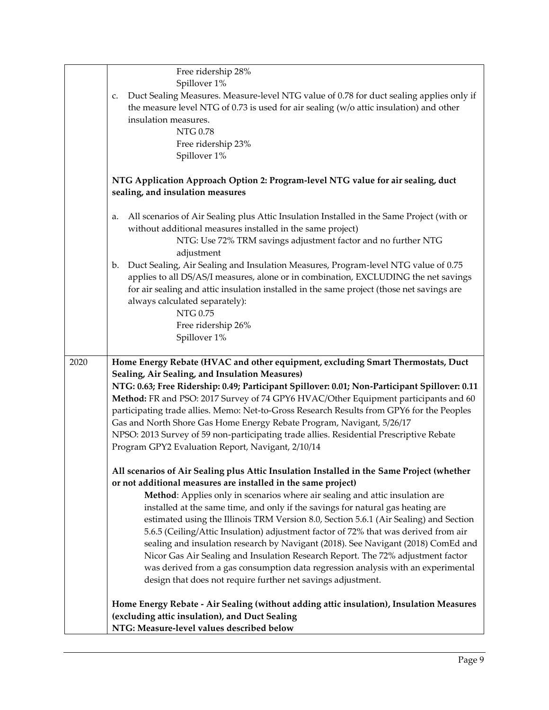|      | Free ridership 28%                                                                              |
|------|-------------------------------------------------------------------------------------------------|
|      | Spillover 1%                                                                                    |
|      | Duct Sealing Measures. Measure-level NTG value of 0.78 for duct sealing applies only if<br>c.   |
|      | the measure level NTG of $0.73$ is used for air sealing ( $w/o$ attic insulation) and other     |
|      | insulation measures.                                                                            |
|      | <b>NTG 0.78</b>                                                                                 |
|      | Free ridership 23%                                                                              |
|      | Spillover 1%                                                                                    |
|      |                                                                                                 |
|      | NTG Application Approach Option 2: Program-level NTG value for air sealing, duct                |
|      | sealing, and insulation measures                                                                |
|      |                                                                                                 |
|      | All scenarios of Air Sealing plus Attic Insulation Installed in the Same Project (with or<br>a. |
|      | without additional measures installed in the same project)                                      |
|      | NTG: Use 72% TRM savings adjustment factor and no further NTG                                   |
|      | adjustment                                                                                      |
|      | Duct Sealing, Air Sealing and Insulation Measures, Program-level NTG value of 0.75<br>b.        |
|      | applies to all DS/AS/I measures, alone or in combination, EXCLUDING the net savings             |
|      | for air sealing and attic insulation installed in the same project (those net savings are       |
|      | always calculated separately):                                                                  |
|      | <b>NTG 0.75</b>                                                                                 |
|      | Free ridership 26%                                                                              |
|      | Spillover 1%                                                                                    |
|      |                                                                                                 |
| 2020 | Home Energy Rebate (HVAC and other equipment, excluding Smart Thermostats, Duct                 |
|      | Sealing, Air Sealing, and Insulation Measures)                                                  |
|      | NTG: 0.63; Free Ridership: 0.49; Participant Spillover: 0.01; Non-Participant Spillover: 0.11   |
|      | Method: FR and PSO: 2017 Survey of 74 GPY6 HVAC/Other Equipment participants and 60             |
|      | participating trade allies. Memo: Net-to-Gross Research Results from GPY6 for the Peoples       |
|      | Gas and North Shore Gas Home Energy Rebate Program, Navigant, 5/26/17                           |
|      | NPSO: 2013 Survey of 59 non-participating trade allies. Residential Prescriptive Rebate         |
|      | Program GPY2 Evaluation Report, Navigant, 2/10/14                                               |
|      |                                                                                                 |
|      | All scenarios of Air Sealing plus Attic Insulation Installed in the Same Project (whether       |
|      | or not additional measures are installed in the same project)                                   |
|      | Method: Applies only in scenarios where air sealing and attic insulation are                    |
|      | installed at the same time, and only if the savings for natural gas heating are                 |
|      | estimated using the Illinois TRM Version 8.0, Section 5.6.1 (Air Sealing) and Section           |
|      | 5.6.5 (Ceiling/Attic Insulation) adjustment factor of 72% that was derived from air             |
|      | sealing and insulation research by Navigant (2018). See Navigant (2018) ComEd and               |
|      | Nicor Gas Air Sealing and Insulation Research Report. The 72% adjustment factor                 |
|      | was derived from a gas consumption data regression analysis with an experimental                |
|      | design that does not require further net savings adjustment.                                    |
|      |                                                                                                 |
|      | Home Energy Rebate - Air Sealing (without adding attic insulation), Insulation Measures         |
|      | (excluding attic insulation), and Duct Sealing                                                  |
|      | NTG: Measure-level values described below                                                       |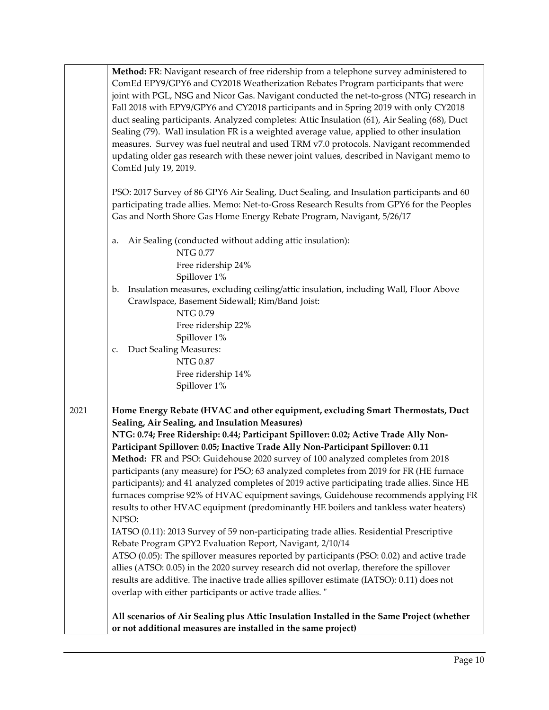|      | Method: FR: Navigant research of free ridership from a telephone survey administered to<br>ComEd EPY9/GPY6 and CY2018 Weatherization Rebates Program participants that were<br>joint with PGL, NSG and Nicor Gas. Navigant conducted the net-to-gross (NTG) research in<br>Fall 2018 with EPY9/GPY6 and CY2018 participants and in Spring 2019 with only CY2018<br>duct sealing participants. Analyzed completes: Attic Insulation (61), Air Sealing (68), Duct<br>Sealing (79). Wall insulation FR is a weighted average value, applied to other insulation<br>measures. Survey was fuel neutral and used TRM v7.0 protocols. Navigant recommended<br>updating older gas research with these newer joint values, described in Navigant memo to<br>ComEd July 19, 2019.                                                                                                                                                                                                                                                                                                                                                                                                                                                                                                                                                                                                                    |
|------|--------------------------------------------------------------------------------------------------------------------------------------------------------------------------------------------------------------------------------------------------------------------------------------------------------------------------------------------------------------------------------------------------------------------------------------------------------------------------------------------------------------------------------------------------------------------------------------------------------------------------------------------------------------------------------------------------------------------------------------------------------------------------------------------------------------------------------------------------------------------------------------------------------------------------------------------------------------------------------------------------------------------------------------------------------------------------------------------------------------------------------------------------------------------------------------------------------------------------------------------------------------------------------------------------------------------------------------------------------------------------------------------|
|      | PSO: 2017 Survey of 86 GPY6 Air Sealing, Duct Sealing, and Insulation participants and 60<br>participating trade allies. Memo: Net-to-Gross Research Results from GPY6 for the Peoples<br>Gas and North Shore Gas Home Energy Rebate Program, Navigant, 5/26/17                                                                                                                                                                                                                                                                                                                                                                                                                                                                                                                                                                                                                                                                                                                                                                                                                                                                                                                                                                                                                                                                                                                            |
|      | Air Sealing (conducted without adding attic insulation):<br>a.<br>NTG 0.77<br>Free ridership 24%                                                                                                                                                                                                                                                                                                                                                                                                                                                                                                                                                                                                                                                                                                                                                                                                                                                                                                                                                                                                                                                                                                                                                                                                                                                                                           |
|      | Spillover 1%<br>Insulation measures, excluding ceiling/attic insulation, including Wall, Floor Above<br>b.<br>Crawlspace, Basement Sidewall; Rim/Band Joist:<br>NTG 0.79<br>Free ridership 22%                                                                                                                                                                                                                                                                                                                                                                                                                                                                                                                                                                                                                                                                                                                                                                                                                                                                                                                                                                                                                                                                                                                                                                                             |
|      | Spillover 1%<br>Duct Sealing Measures:<br>c.<br>NTG 0.87<br>Free ridership 14%<br>Spillover 1%                                                                                                                                                                                                                                                                                                                                                                                                                                                                                                                                                                                                                                                                                                                                                                                                                                                                                                                                                                                                                                                                                                                                                                                                                                                                                             |
| 2021 | Home Energy Rebate (HVAC and other equipment, excluding Smart Thermostats, Duct<br>Sealing, Air Sealing, and Insulation Measures)<br>NTG: 0.74; Free Ridership: 0.44; Participant Spillover: 0.02; Active Trade Ally Non-<br>Participant Spillover: 0.05; Inactive Trade Ally Non-Participant Spillover: 0.11<br>Method: FR and PSO: Guidehouse 2020 survey of 100 analyzed completes from 2018<br>participants (any measure) for PSO; 63 analyzed completes from 2019 for FR (HE furnace<br>participants); and 41 analyzed completes of 2019 active participating trade allies. Since HE<br>furnaces comprise 92% of HVAC equipment savings, Guidehouse recommends applying FR<br>results to other HVAC equipment (predominantly HE boilers and tankless water heaters)<br>NPSO:<br>IATSO (0.11): 2013 Survey of 59 non-participating trade allies. Residential Prescriptive<br>Rebate Program GPY2 Evaluation Report, Navigant, 2/10/14<br>ATSO (0.05): The spillover measures reported by participants (PSO: 0.02) and active trade<br>allies (ATSO: 0.05) in the 2020 survey research did not overlap, therefore the spillover<br>results are additive. The inactive trade allies spillover estimate (IATSO): 0.11) does not<br>overlap with either participants or active trade allies."<br>All scenarios of Air Sealing plus Attic Insulation Installed in the Same Project (whether |
|      | or not additional measures are installed in the same project)                                                                                                                                                                                                                                                                                                                                                                                                                                                                                                                                                                                                                                                                                                                                                                                                                                                                                                                                                                                                                                                                                                                                                                                                                                                                                                                              |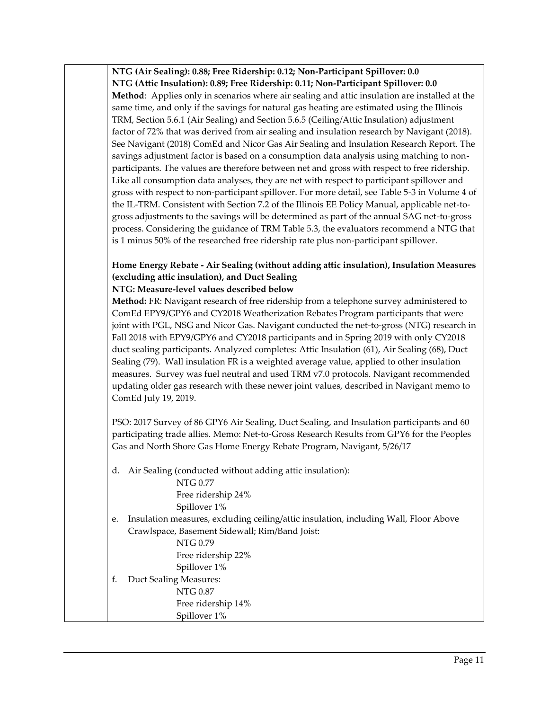**NTG (Air Sealing): 0.88; Free Ridership: 0.12; Non-Participant Spillover: 0.0 NTG (Attic Insulation): 0.89; Free Ridership: 0.11; Non-Participant Spillover: 0.0 Method**: Applies only in scenarios where air sealing and attic insulation are installed at the same time, and only if the savings for natural gas heating are estimated using the Illinois TRM, Section 5.6.1 (Air Sealing) and Section 5.6.5 (Ceiling/Attic Insulation) adjustment factor of 72% that was derived from air sealing and insulation research by Navigant (2018). See Navigant (2018) ComEd and Nicor Gas Air Sealing and Insulation Research Report. The savings adjustment factor is based on a consumption data analysis using matching to nonparticipants. The values are therefore between net and gross with respect to free ridership. Like all consumption data analyses, they are net with respect to participant spillover and gross with respect to non-participant spillover. For more detail, see Table 5-3 in Volume 4 of the IL-TRM. Consistent with Section 7.2 of the Illinois EE Policy Manual, applicable net-togross adjustments to the savings will be determined as part of the annual SAG net-to-gross process. Considering the guidance of TRM Table 5.3, the evaluators recommend a NTG that is 1 minus 50% of the researched free ridership rate plus non-participant spillover.

#### **Home Energy Rebate - Air Sealing (without adding attic insulation), Insulation Measures (excluding attic insulation), and Duct Sealing NTG: Measure-level values described below**

**Method:** FR: Navigant research of free ridership from a telephone survey administered to ComEd EPY9/GPY6 and CY2018 Weatherization Rebates Program participants that were joint with PGL, NSG and Nicor Gas. Navigant conducted the net-to-gross (NTG) research in Fall 2018 with EPY9/GPY6 and CY2018 participants and in Spring 2019 with only CY2018 duct sealing participants. Analyzed completes: Attic Insulation (61), Air Sealing (68), Duct Sealing (79). Wall insulation FR is a weighted average value, applied to other insulation measures. Survey was fuel neutral and used TRM v7.0 protocols. Navigant recommended updating older gas research with these newer joint values, described in Navigant memo to ComEd July 19, 2019.

PSO: 2017 Survey of 86 GPY6 Air Sealing, Duct Sealing, and Insulation participants and 60 participating trade allies. Memo: Net-to-Gross Research Results from GPY6 for the Peoples Gas and North Shore Gas Home Energy Rebate Program, Navigant, 5/26/17

d. Air Sealing (conducted without adding attic insulation):

NTG 0.77 Free ridership 24% Spillover 1%

e. Insulation measures, excluding ceiling/attic insulation, including Wall, Floor Above Crawlspace, Basement Sidewall; Rim/Band Joist:

NTG 0.79 Free ridership 22% Spillover 1%

f. Duct Sealing Measures: NTG 0.87 Free ridership 14%

Spillover 1%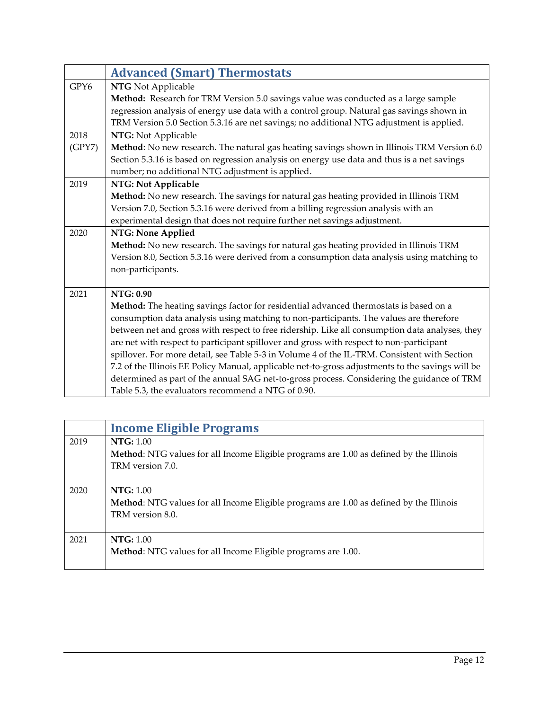<span id="page-11-0"></span>

|        | <b>Advanced (Smart) Thermostats</b>                                                              |
|--------|--------------------------------------------------------------------------------------------------|
| GPY6   | <b>NTG</b> Not Applicable                                                                        |
|        | Method: Research for TRM Version 5.0 savings value was conducted as a large sample               |
|        | regression analysis of energy use data with a control group. Natural gas savings shown in        |
|        | TRM Version 5.0 Section 5.3.16 are net savings; no additional NTG adjustment is applied.         |
| 2018   | NTG: Not Applicable                                                                              |
| (GPY7) | Method: No new research. The natural gas heating savings shown in Illinois TRM Version 6.0       |
|        | Section 5.3.16 is based on regression analysis on energy use data and thus is a net savings      |
|        | number; no additional NTG adjustment is applied.                                                 |
| 2019   | NTG: Not Applicable                                                                              |
|        | Method: No new research. The savings for natural gas heating provided in Illinois TRM            |
|        | Version 7.0, Section 5.3.16 were derived from a billing regression analysis with an              |
|        | experimental design that does not require further net savings adjustment.                        |
| 2020   | NTG: None Applied                                                                                |
|        | Method: No new research. The savings for natural gas heating provided in Illinois TRM            |
|        | Version 8.0, Section 5.3.16 were derived from a consumption data analysis using matching to      |
|        | non-participants.                                                                                |
|        |                                                                                                  |
| 2021   | NTG: 0.90                                                                                        |
|        | Method: The heating savings factor for residential advanced thermostats is based on a            |
|        | consumption data analysis using matching to non-participants. The values are therefore           |
|        | between net and gross with respect to free ridership. Like all consumption data analyses, they   |
|        | are net with respect to participant spillover and gross with respect to non-participant          |
|        | spillover. For more detail, see Table 5-3 in Volume 4 of the IL-TRM. Consistent with Section     |
|        | 7.2 of the Illinois EE Policy Manual, applicable net-to-gross adjustments to the savings will be |
|        | determined as part of the annual SAG net-to-gross process. Considering the guidance of TRM       |
|        | Table 5.3, the evaluators recommend a NTG of 0.90.                                               |

<span id="page-11-1"></span>

|      | <b>Income Eligible Programs</b>                                                                |
|------|------------------------------------------------------------------------------------------------|
| 2019 | NTG: 1.00                                                                                      |
|      | <b>Method:</b> NTG values for all Income Eligible programs are 1.00 as defined by the Illinois |
|      | TRM version 7.0.                                                                               |
|      | NTG: 1.00                                                                                      |
| 2020 |                                                                                                |
|      | Method: NTG values for all Income Eligible programs are 1.00 as defined by the Illinois        |
|      | TRM version 8.0.                                                                               |
| 2021 | NTG: 1.00                                                                                      |
|      | Method: NTG values for all Income Eligible programs are 1.00.                                  |
|      |                                                                                                |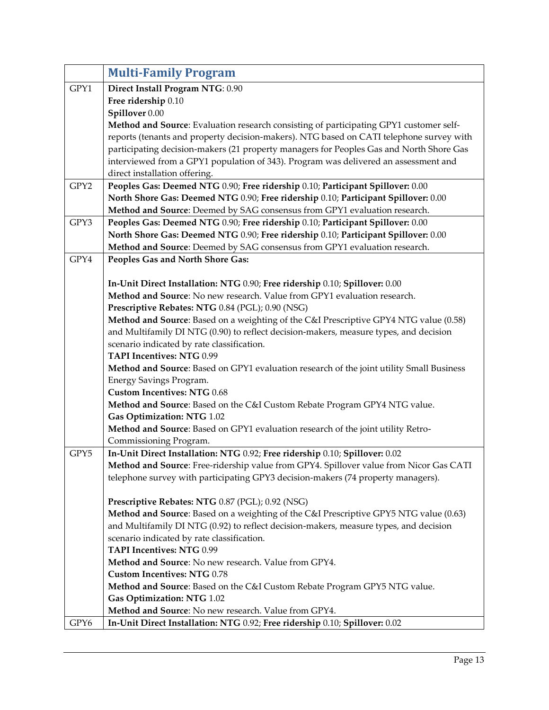<span id="page-12-0"></span>

|      | <b>Multi-Family Program</b>                                                                                                         |
|------|-------------------------------------------------------------------------------------------------------------------------------------|
| GPY1 | Direct Install Program NTG: 0.90                                                                                                    |
|      | Free ridership 0.10                                                                                                                 |
|      | Spillover 0.00                                                                                                                      |
|      | Method and Source: Evaluation research consisting of participating GPY1 customer self-                                              |
|      | reports (tenants and property decision-makers). NTG based on CATI telephone survey with                                             |
|      | participating decision-makers (21 property managers for Peoples Gas and North Shore Gas                                             |
|      | interviewed from a GPY1 population of 343). Program was delivered an assessment and                                                 |
|      | direct installation offering.                                                                                                       |
| GPY2 | Peoples Gas: Deemed NTG 0.90; Free ridership 0.10; Participant Spillover: 0.00                                                      |
|      | North Shore Gas: Deemed NTG 0.90; Free ridership 0.10; Participant Spillover: 0.00                                                  |
|      | Method and Source: Deemed by SAG consensus from GPY1 evaluation research.                                                           |
| GPY3 | Peoples Gas: Deemed NTG 0.90; Free ridership 0.10; Participant Spillover: 0.00                                                      |
|      | North Shore Gas: Deemed NTG 0.90; Free ridership 0.10; Participant Spillover: 0.00                                                  |
|      | Method and Source: Deemed by SAG consensus from GPY1 evaluation research.                                                           |
| GPY4 | Peoples Gas and North Shore Gas:                                                                                                    |
|      |                                                                                                                                     |
|      | In-Unit Direct Installation: NTG 0.90; Free ridership 0.10; Spillover: 0.00                                                         |
|      | Method and Source: No new research. Value from GPY1 evaluation research.                                                            |
|      | Prescriptive Rebates: NTG 0.84 (PGL); 0.90 (NSG)                                                                                    |
|      | Method and Source: Based on a weighting of the C&I Prescriptive GPY4 NTG value (0.58)                                               |
|      | and Multifamily DI NTG (0.90) to reflect decision-makers, measure types, and decision                                               |
|      | scenario indicated by rate classification.                                                                                          |
|      | <b>TAPI Incentives: NTG 0.99</b>                                                                                                    |
|      | Method and Source: Based on GPY1 evaluation research of the joint utility Small Business                                            |
|      | Energy Savings Program.                                                                                                             |
|      | <b>Custom Incentives: NTG 0.68</b>                                                                                                  |
|      | Method and Source: Based on the C&I Custom Rebate Program GPY4 NTG value.                                                           |
|      | Gas Optimization: NTG 1.02                                                                                                          |
|      | Method and Source: Based on GPY1 evaluation research of the joint utility Retro-                                                    |
|      | Commissioning Program.                                                                                                              |
| GPY5 | In-Unit Direct Installation: NTG 0.92; Free ridership 0.10; Spillover: 0.02                                                         |
|      | Method and Source: Free-ridership value from GPY4. Spillover value from Nicor Gas CATI                                              |
|      | telephone survey with participating GPY3 decision-makers (74 property managers).                                                    |
|      |                                                                                                                                     |
|      | Prescriptive Rebates: NTG 0.87 (PGL); 0.92 (NSG)                                                                                    |
|      | Method and Source: Based on a weighting of the C&I Prescriptive GPY5 NTG value (0.63)                                               |
|      | and Multifamily DI NTG (0.92) to reflect decision-makers, measure types, and decision<br>scenario indicated by rate classification. |
|      | <b>TAPI Incentives: NTG 0.99</b>                                                                                                    |
|      | Method and Source: No new research. Value from GPY4.                                                                                |
|      | <b>Custom Incentives: NTG 0.78</b>                                                                                                  |
|      | Method and Source: Based on the C&I Custom Rebate Program GPY5 NTG value.                                                           |
|      | Gas Optimization: NTG 1.02                                                                                                          |
|      | Method and Source: No new research. Value from GPY4.                                                                                |
| GPY6 | In-Unit Direct Installation: NTG 0.92; Free ridership 0.10; Spillover: 0.02                                                         |
|      |                                                                                                                                     |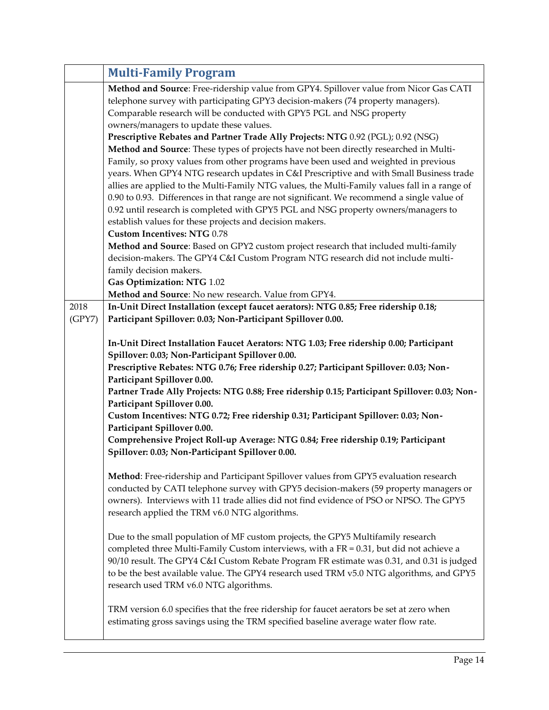|        | <b>Multi-Family Program</b>                                                                                                                                                                                                                                                                                                                                                                                                                                   |
|--------|---------------------------------------------------------------------------------------------------------------------------------------------------------------------------------------------------------------------------------------------------------------------------------------------------------------------------------------------------------------------------------------------------------------------------------------------------------------|
|        | Method and Source: Free-ridership value from GPY4. Spillover value from Nicor Gas CATI<br>telephone survey with participating GPY3 decision-makers (74 property managers).<br>Comparable research will be conducted with GPY5 PGL and NSG property<br>owners/managers to update these values.                                                                                                                                                                 |
|        | Prescriptive Rebates and Partner Trade Ally Projects: NTG 0.92 (PGL); 0.92 (NSG)<br>Method and Source: These types of projects have not been directly researched in Multi-<br>Family, so proxy values from other programs have been used and weighted in previous<br>years. When GPY4 NTG research updates in C&I Prescriptive and with Small Business trade<br>allies are applied to the Multi-Family NTG values, the Multi-Family values fall in a range of |
|        | 0.90 to 0.93. Differences in that range are not significant. We recommend a single value of<br>0.92 until research is completed with GPY5 PGL and NSG property owners/managers to<br>establish values for these projects and decision makers.<br><b>Custom Incentives: NTG 0.78</b>                                                                                                                                                                           |
|        | Method and Source: Based on GPY2 custom project research that included multi-family<br>decision-makers. The GPY4 C&I Custom Program NTG research did not include multi-<br>family decision makers.                                                                                                                                                                                                                                                            |
|        | Gas Optimization: NTG 1.02<br>Method and Source: No new research. Value from GPY4.                                                                                                                                                                                                                                                                                                                                                                            |
| 2018   | In-Unit Direct Installation (except faucet aerators): NTG 0.85; Free ridership 0.18;                                                                                                                                                                                                                                                                                                                                                                          |
| (GPY7) | Participant Spillover: 0.03; Non-Participant Spillover 0.00.                                                                                                                                                                                                                                                                                                                                                                                                  |
|        | In-Unit Direct Installation Faucet Aerators: NTG 1.03; Free ridership 0.00; Participant<br>Spillover: 0.03; Non-Participant Spillover 0.00.<br>Prescriptive Rebates: NTG 0.76; Free ridership 0.27; Participant Spillover: 0.03; Non-<br>Participant Spillover 0.00.<br>Partner Trade Ally Projects: NTG 0.88; Free ridership 0.15; Participant Spillover: 0.03; Non-<br>Participant Spillover 0.00.                                                          |
|        | Custom Incentives: NTG 0.72; Free ridership 0.31; Participant Spillover: 0.03; Non-                                                                                                                                                                                                                                                                                                                                                                           |
|        | Participant Spillover 0.00.                                                                                                                                                                                                                                                                                                                                                                                                                                   |
|        | Comprehensive Project Roll-up Average: NTG 0.84; Free ridership 0.19; Participant<br>Spillover: 0.03; Non-Participant Spillover 0.00.                                                                                                                                                                                                                                                                                                                         |
|        | Method: Free-ridership and Participant Spillover values from GPY5 evaluation research<br>conducted by CATI telephone survey with GPY5 decision-makers (59 property managers or<br>owners). Interviews with 11 trade allies did not find evidence of PSO or NPSO. The GPY5<br>research applied the TRM v6.0 NTG algorithms.                                                                                                                                    |
|        | Due to the small population of MF custom projects, the GPY5 Multifamily research<br>completed three Multi-Family Custom interviews, with a FR = $0.31$ , but did not achieve a<br>90/10 result. The GPY4 C&I Custom Rebate Program FR estimate was 0.31, and 0.31 is judged<br>to be the best available value. The GPY4 research used TRM v5.0 NTG algorithms, and GPY5<br>research used TRM v6.0 NTG algorithms.                                             |
|        | TRM version 6.0 specifies that the free ridership for faucet aerators be set at zero when<br>estimating gross savings using the TRM specified baseline average water flow rate.                                                                                                                                                                                                                                                                               |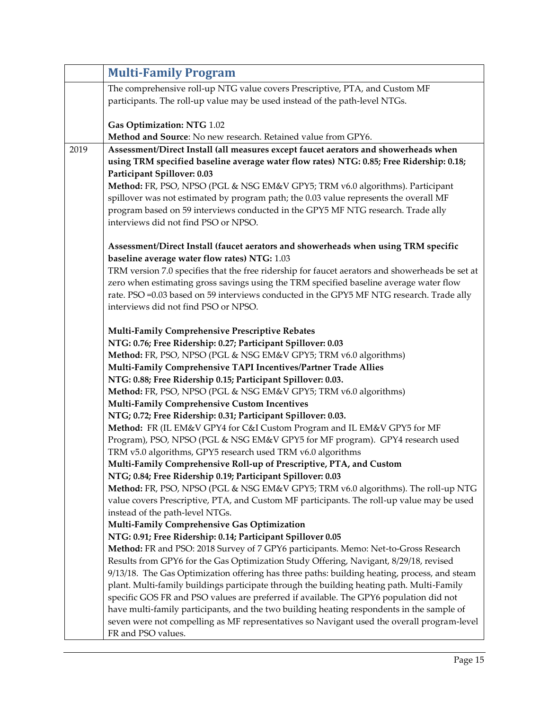|      | <b>Multi-Family Program</b>                                                                                                                                                         |
|------|-------------------------------------------------------------------------------------------------------------------------------------------------------------------------------------|
|      | The comprehensive roll-up NTG value covers Prescriptive, PTA, and Custom MF                                                                                                         |
|      | participants. The roll-up value may be used instead of the path-level NTGs.                                                                                                         |
|      |                                                                                                                                                                                     |
|      | Gas Optimization: NTG 1.02                                                                                                                                                          |
|      | Method and Source: No new research. Retained value from GPY6.                                                                                                                       |
| 2019 | Assessment/Direct Install (all measures except faucet aerators and showerheads when                                                                                                 |
|      | using TRM specified baseline average water flow rates) NTG: 0.85; Free Ridership: 0.18;                                                                                             |
|      | Participant Spillover: 0.03<br>Method: FR, PSO, NPSO (PGL & NSG EM&V GPY5; TRM v6.0 algorithms). Participant                                                                        |
|      | spillover was not estimated by program path; the 0.03 value represents the overall MF                                                                                               |
|      | program based on 59 interviews conducted in the GPY5 MF NTG research. Trade ally                                                                                                    |
|      | interviews did not find PSO or NPSO.                                                                                                                                                |
|      |                                                                                                                                                                                     |
|      | Assessment/Direct Install (faucet aerators and showerheads when using TRM specific                                                                                                  |
|      | baseline average water flow rates) NTG: 1.03                                                                                                                                        |
|      | TRM version 7.0 specifies that the free ridership for faucet aerators and showerheads be set at                                                                                     |
|      | zero when estimating gross savings using the TRM specified baseline average water flow                                                                                              |
|      | rate. PSO =0.03 based on 59 interviews conducted in the GPY5 MF NTG research. Trade ally                                                                                            |
|      | interviews did not find PSO or NPSO.                                                                                                                                                |
|      | Multi-Family Comprehensive Prescriptive Rebates                                                                                                                                     |
|      | NTG: 0.76; Free Ridership: 0.27; Participant Spillover: 0.03                                                                                                                        |
|      | Method: FR, PSO, NPSO (PGL & NSG EM&V GPY5; TRM v6.0 algorithms)                                                                                                                    |
|      | Multi-Family Comprehensive TAPI Incentives/Partner Trade Allies                                                                                                                     |
|      | NTG: 0.88; Free Ridership 0.15; Participant Spillover: 0.03.                                                                                                                        |
|      | Method: FR, PSO, NPSO (PGL & NSG EM&V GPY5; TRM v6.0 algorithms)                                                                                                                    |
|      | Multi-Family Comprehensive Custom Incentives                                                                                                                                        |
|      | NTG; 0.72; Free Ridership: 0.31; Participant Spillover: 0.03.                                                                                                                       |
|      | Method: FR (IL EM&V GPY4 for C&I Custom Program and IL EM&V GPY5 for MF                                                                                                             |
|      | Program), PSO, NPSO (PGL & NSG EM&V GPY5 for MF program). GPY4 research used<br>TRM v5.0 algorithms, GPY5 research used TRM v6.0 algorithms                                         |
|      | Multi-Family Comprehensive Roll-up of Prescriptive, PTA, and Custom                                                                                                                 |
|      | NTG; 0.84; Free Ridership 0.19; Participant Spillover: 0.03                                                                                                                         |
|      | Method: FR, PSO, NPSO (PGL & NSG EM&V GPY5; TRM v6.0 algorithms). The roll-up NTG                                                                                                   |
|      | value covers Prescriptive, PTA, and Custom MF participants. The roll-up value may be used                                                                                           |
|      | instead of the path-level NTGs.                                                                                                                                                     |
|      | Multi-Family Comprehensive Gas Optimization                                                                                                                                         |
|      | NTG: 0.91; Free Ridership: 0.14; Participant Spillover 0.05                                                                                                                         |
|      | Method: FR and PSO: 2018 Survey of 7 GPY6 participants. Memo: Net-to-Gross Research                                                                                                 |
|      | Results from GPY6 for the Gas Optimization Study Offering, Navigant, 8/29/18, revised                                                                                               |
|      | 9/13/18. The Gas Optimization offering has three paths: building heating, process, and steam                                                                                        |
|      | plant. Multi-family buildings participate through the building heating path. Multi-Family                                                                                           |
|      | specific GOS FR and PSO values are preferred if available. The GPY6 population did not<br>have multi-family participants, and the two building heating respondents in the sample of |
|      | seven were not compelling as MF representatives so Navigant used the overall program-level                                                                                          |
|      | FR and PSO values.                                                                                                                                                                  |
|      |                                                                                                                                                                                     |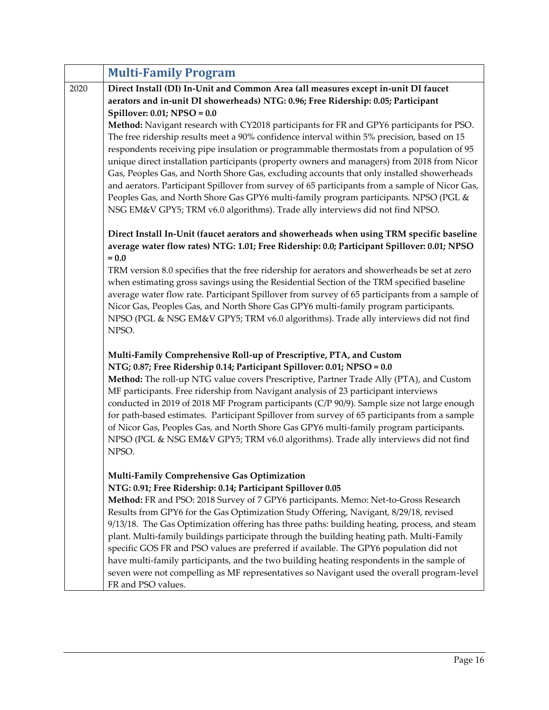|      | <b>Multi-Family Program</b>                                                                                                                                                                                                                                                                                                                                                                                                                                                                                                                                                                                                                                                                                                                                                                        |
|------|----------------------------------------------------------------------------------------------------------------------------------------------------------------------------------------------------------------------------------------------------------------------------------------------------------------------------------------------------------------------------------------------------------------------------------------------------------------------------------------------------------------------------------------------------------------------------------------------------------------------------------------------------------------------------------------------------------------------------------------------------------------------------------------------------|
| 2020 | Direct Install (DI) In-Unit and Common Area (all measures except in-unit DI faucet<br>aerators and in-unit DI showerheads) NTG: 0.96; Free Ridership: 0.05; Participant<br>Spillover: $0.01$ ; NPSO = $0.0$                                                                                                                                                                                                                                                                                                                                                                                                                                                                                                                                                                                        |
|      | Method: Navigant research with CY2018 participants for FR and GPY6 participants for PSO.<br>The free ridership results meet a 90% confidence interval within 5% precision, based on 15<br>respondents receiving pipe insulation or programmable thermostats from a population of 95<br>unique direct installation participants (property owners and managers) from 2018 from Nicor<br>Gas, Peoples Gas, and North Shore Gas, excluding accounts that only installed showerheads<br>and aerators. Participant Spillover from survey of 65 participants from a sample of Nicor Gas,<br>Peoples Gas, and North Shore Gas GPY6 multi-family program participants. NPSO (PGL &<br>NSG EM&V GPY5; TRM v6.0 algorithms). Trade ally interviews did not find NPSO.                                         |
|      | Direct Install In-Unit (faucet aerators and showerheads when using TRM specific baseline<br>average water flow rates) NTG: 1.01; Free Ridership: 0.0; Participant Spillover: 0.01; NPSO<br>$= 0.0$                                                                                                                                                                                                                                                                                                                                                                                                                                                                                                                                                                                                 |
|      | TRM version 8.0 specifies that the free ridership for aerators and showerheads be set at zero<br>when estimating gross savings using the Residential Section of the TRM specified baseline<br>average water flow rate. Participant Spillover from survey of 65 participants from a sample of<br>Nicor Gas, Peoples Gas, and North Shore Gas GPY6 multi-family program participants.<br>NPSO (PGL & NSG EM&V GPY5; TRM v6.0 algorithms). Trade ally interviews did not find<br>NPSO.                                                                                                                                                                                                                                                                                                                |
|      | Multi-Family Comprehensive Roll-up of Prescriptive, PTA, and Custom<br>NTG; 0.87; Free Ridership 0.14; Participant Spillover: 0.01; NPSO = 0.0<br>Method: The roll-up NTG value covers Prescriptive, Partner Trade Ally (PTA), and Custom<br>MF participants. Free ridership from Navigant analysis of 23 participant interviews<br>conducted in 2019 of 2018 MF Program participants (C/P 90/9). Sample size not large enough<br>for path-based estimates. Participant Spillover from survey of 65 participants from a sample<br>of Nicor Gas, Peoples Gas, and North Shore Gas GPY6 multi-family program participants.<br>NPSO (PGL & NSG EM&V GPY5; TRM v6.0 algorithms). Trade ally interviews did not find<br>NPSO.                                                                           |
|      | Multi-Family Comprehensive Gas Optimization<br>NTG: 0.91; Free Ridership: 0.14; Participant Spillover 0.05<br>Method: FR and PSO: 2018 Survey of 7 GPY6 participants. Memo: Net-to-Gross Research<br>Results from GPY6 for the Gas Optimization Study Offering, Navigant, 8/29/18, revised<br>9/13/18. The Gas Optimization offering has three paths: building heating, process, and steam<br>plant. Multi-family buildings participate through the building heating path. Multi-Family<br>specific GOS FR and PSO values are preferred if available. The GPY6 population did not<br>have multi-family participants, and the two building heating respondents in the sample of<br>seven were not compelling as MF representatives so Navigant used the overall program-level<br>FR and PSO values. |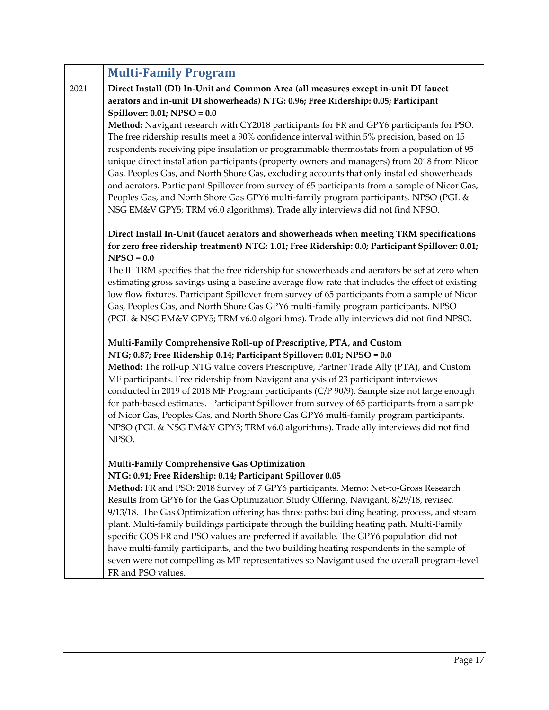| Direct Install (DI) In-Unit and Common Area (all measures except in-unit DI faucet                                                                                                                                                                                                                                                                                                                                                                                              |
|---------------------------------------------------------------------------------------------------------------------------------------------------------------------------------------------------------------------------------------------------------------------------------------------------------------------------------------------------------------------------------------------------------------------------------------------------------------------------------|
|                                                                                                                                                                                                                                                                                                                                                                                                                                                                                 |
|                                                                                                                                                                                                                                                                                                                                                                                                                                                                                 |
| Method: Navigant research with CY2018 participants for FR and GPY6 participants for PSO.                                                                                                                                                                                                                                                                                                                                                                                        |
| The free ridership results meet a 90% confidence interval within 5% precision, based on 15                                                                                                                                                                                                                                                                                                                                                                                      |
| respondents receiving pipe insulation or programmable thermostats from a population of 95<br>unique direct installation participants (property owners and managers) from 2018 from Nicor<br>Gas, Peoples Gas, and North Shore Gas, excluding accounts that only installed showerheads<br>and aerators. Participant Spillover from survey of 65 participants from a sample of Nicor Gas,<br>Peoples Gas, and North Shore Gas GPY6 multi-family program participants. NPSO (PGL & |
| Direct Install In-Unit (faucet aerators and showerheads when meeting TRM specifications                                                                                                                                                                                                                                                                                                                                                                                         |
| for zero free ridership treatment) NTG: 1.01; Free Ridership: 0.0; Participant Spillover: 0.01;                                                                                                                                                                                                                                                                                                                                                                                 |
| The IL TRM specifies that the free ridership for showerheads and aerators be set at zero when                                                                                                                                                                                                                                                                                                                                                                                   |
| estimating gross savings using a baseline average flow rate that includes the effect of existing                                                                                                                                                                                                                                                                                                                                                                                |
| low flow fixtures. Participant Spillover from survey of 65 participants from a sample of Nicor                                                                                                                                                                                                                                                                                                                                                                                  |
| Gas, Peoples Gas, and North Shore Gas GPY6 multi-family program participants. NPSO                                                                                                                                                                                                                                                                                                                                                                                              |
| (PGL & NSG EM&V GPY5; TRM v6.0 algorithms). Trade ally interviews did not find NPSO.                                                                                                                                                                                                                                                                                                                                                                                            |
|                                                                                                                                                                                                                                                                                                                                                                                                                                                                                 |
|                                                                                                                                                                                                                                                                                                                                                                                                                                                                                 |
| Method: The roll-up NTG value covers Prescriptive, Partner Trade Ally (PTA), and Custom                                                                                                                                                                                                                                                                                                                                                                                         |
| conducted in 2019 of 2018 MF Program participants (C/P 90/9). Sample size not large enough                                                                                                                                                                                                                                                                                                                                                                                      |
| for path-based estimates. Participant Spillover from survey of 65 participants from a sample                                                                                                                                                                                                                                                                                                                                                                                    |
| of Nicor Gas, Peoples Gas, and North Shore Gas GPY6 multi-family program participants.                                                                                                                                                                                                                                                                                                                                                                                          |
| NPSO (PGL & NSG EM&V GPY5; TRM v6.0 algorithms). Trade ally interviews did not find                                                                                                                                                                                                                                                                                                                                                                                             |
|                                                                                                                                                                                                                                                                                                                                                                                                                                                                                 |
|                                                                                                                                                                                                                                                                                                                                                                                                                                                                                 |
|                                                                                                                                                                                                                                                                                                                                                                                                                                                                                 |
| Method: FR and PSO: 2018 Survey of 7 GPY6 participants. Memo: Net-to-Gross Research                                                                                                                                                                                                                                                                                                                                                                                             |
| Results from GPY6 for the Gas Optimization Study Offering, Navigant, 8/29/18, revised                                                                                                                                                                                                                                                                                                                                                                                           |
| 9/13/18. The Gas Optimization offering has three paths: building heating, process, and steam                                                                                                                                                                                                                                                                                                                                                                                    |
| plant. Multi-family buildings participate through the building heating path. Multi-Family                                                                                                                                                                                                                                                                                                                                                                                       |
| specific GOS FR and PSO values are preferred if available. The GPY6 population did not                                                                                                                                                                                                                                                                                                                                                                                          |
| have multi-family participants, and the two building heating respondents in the sample of                                                                                                                                                                                                                                                                                                                                                                                       |
| seven were not compelling as MF representatives so Navigant used the overall program-level                                                                                                                                                                                                                                                                                                                                                                                      |
|                                                                                                                                                                                                                                                                                                                                                                                                                                                                                 |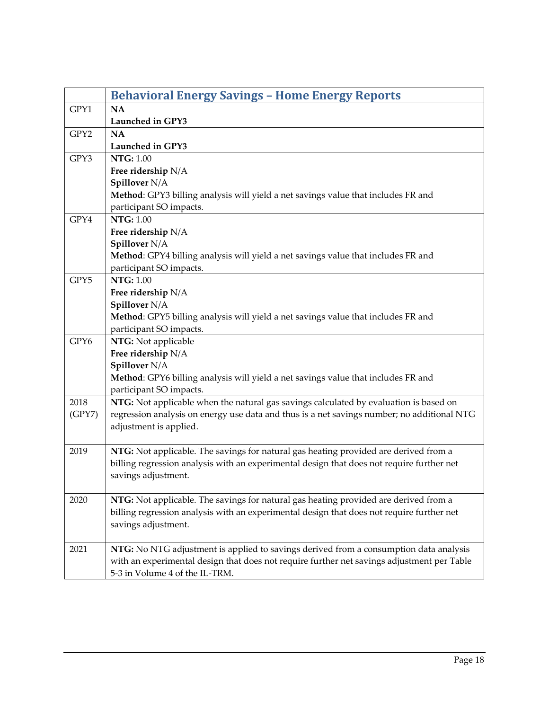<span id="page-17-0"></span>

|        | <b>Behavioral Energy Savings - Home Energy Reports</b>                                     |
|--------|--------------------------------------------------------------------------------------------|
| GPY1   | <b>NA</b>                                                                                  |
|        | Launched in GPY3                                                                           |
| GPY2   | <b>NA</b>                                                                                  |
|        | Launched in GPY3                                                                           |
| GPY3   | <b>NTG: 1.00</b>                                                                           |
|        | Free ridership N/A                                                                         |
|        | Spillover N/A                                                                              |
|        | Method: GPY3 billing analysis will yield a net savings value that includes FR and          |
|        | participant SO impacts.                                                                    |
| GPY4   | <b>NTG: 1.00</b>                                                                           |
|        | Free ridership N/A                                                                         |
|        | Spillover N/A                                                                              |
|        | Method: GPY4 billing analysis will yield a net savings value that includes FR and          |
|        | participant SO impacts.                                                                    |
| GPY5   | <b>NTG: 1.00</b>                                                                           |
|        | Free ridership N/A                                                                         |
|        | Spillover N/A                                                                              |
|        | Method: GPY5 billing analysis will yield a net savings value that includes FR and          |
|        | participant SO impacts.                                                                    |
| GPY6   | NTG: Not applicable                                                                        |
|        | Free ridership N/A                                                                         |
|        | Spillover N/A                                                                              |
|        | Method: GPY6 billing analysis will yield a net savings value that includes FR and          |
|        | participant SO impacts.                                                                    |
| 2018   | NTG: Not applicable when the natural gas savings calculated by evaluation is based on      |
| (GPY7) | regression analysis on energy use data and thus is a net savings number; no additional NTG |
|        | adjustment is applied.                                                                     |
|        |                                                                                            |
| 2019   | NTG: Not applicable. The savings for natural gas heating provided are derived from a       |
|        | billing regression analysis with an experimental design that does not require further net  |
|        | savings adjustment.                                                                        |
|        |                                                                                            |
| 2020   | NTG: Not applicable. The savings for natural gas heating provided are derived from a       |
|        | billing regression analysis with an experimental design that does not require further net  |
|        | savings adjustment.                                                                        |
|        |                                                                                            |
| 2021   | NTG: No NTG adjustment is applied to savings derived from a consumption data analysis      |
|        | with an experimental design that does not require further net savings adjustment per Table |
|        | 5-3 in Volume 4 of the IL-TRM.                                                             |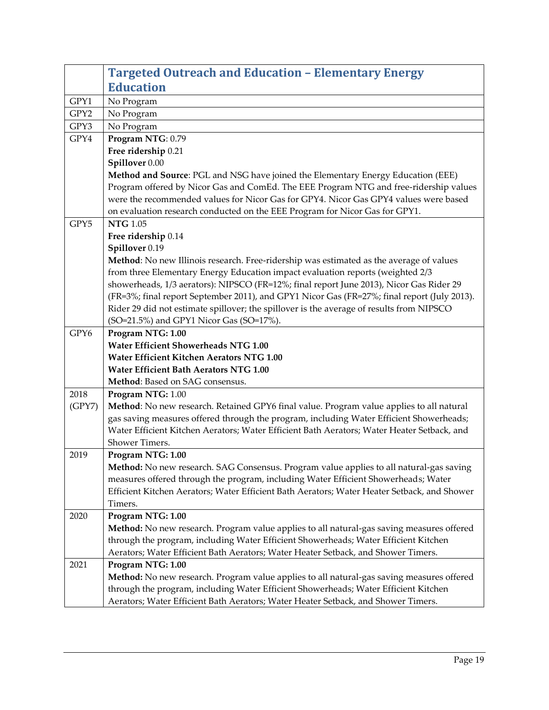<span id="page-18-0"></span>

|        | <b>Targeted Outreach and Education - Elementary Energy</b>                                                   |
|--------|--------------------------------------------------------------------------------------------------------------|
|        | <b>Education</b>                                                                                             |
| GPY1   | No Program                                                                                                   |
| GPY2   | No Program                                                                                                   |
| GPY3   | No Program                                                                                                   |
| GPY4   | Program NTG: 0.79                                                                                            |
|        | Free ridership 0.21                                                                                          |
|        | Spillover 0.00                                                                                               |
|        | Method and Source: PGL and NSG have joined the Elementary Energy Education (EEE)                             |
|        | Program offered by Nicor Gas and ComEd. The EEE Program NTG and free-ridership values                        |
|        | were the recommended values for Nicor Gas for GPY4. Nicor Gas GPY4 values were based                         |
|        | on evaluation research conducted on the EEE Program for Nicor Gas for GPY1.                                  |
| GPY5   | <b>NTG 1.05</b>                                                                                              |
|        | Free ridership 0.14                                                                                          |
|        | Spillover 0.19                                                                                               |
|        | Method: No new Illinois research. Free-ridership was estimated as the average of values                      |
|        | from three Elementary Energy Education impact evaluation reports (weighted 2/3                               |
|        | showerheads, 1/3 aerators): NIPSCO (FR=12%; final report June 2013), Nicor Gas Rider 29                      |
|        | (FR=3%; final report September 2011), and GPY1 Nicor Gas (FR=27%; final report (July 2013).                  |
|        | Rider 29 did not estimate spillover; the spillover is the average of results from NIPSCO                     |
|        | (SO=21.5%) and GPY1 Nicor Gas (SO=17%).                                                                      |
| GPY6   | Program NTG: 1.00                                                                                            |
|        | Water Efficient Showerheads NTG 1.00                                                                         |
|        | Water Efficient Kitchen Aerators NTG 1.00                                                                    |
|        | Water Efficient Bath Aerators NTG 1.00                                                                       |
|        | Method: Based on SAG consensus.                                                                              |
| 2018   | Program NTG: 1.00                                                                                            |
| (GPY7) | Method: No new research. Retained GPY6 final value. Program value applies to all natural                     |
|        | gas saving measures offered through the program, including Water Efficient Showerheads;                      |
|        | Water Efficient Kitchen Aerators; Water Efficient Bath Aerators; Water Heater Setback, and<br>Shower Timers. |
| 2019   | Program NTG: 1.00                                                                                            |
|        | Method: No new research. SAG Consensus. Program value applies to all natural-gas saving                      |
|        | measures offered through the program, including Water Efficient Showerheads; Water                           |
|        | Efficient Kitchen Aerators; Water Efficient Bath Aerators; Water Heater Setback, and Shower                  |
|        | Timers.                                                                                                      |
| 2020   | Program NTG: 1.00                                                                                            |
|        | Method: No new research. Program value applies to all natural-gas saving measures offered                    |
|        | through the program, including Water Efficient Showerheads; Water Efficient Kitchen                          |
|        | Aerators; Water Efficient Bath Aerators; Water Heater Setback, and Shower Timers.                            |
| 2021   | Program NTG: 1.00                                                                                            |
|        | Method: No new research. Program value applies to all natural-gas saving measures offered                    |
|        | through the program, including Water Efficient Showerheads; Water Efficient Kitchen                          |
|        | Aerators; Water Efficient Bath Aerators; Water Heater Setback, and Shower Timers.                            |
|        |                                                                                                              |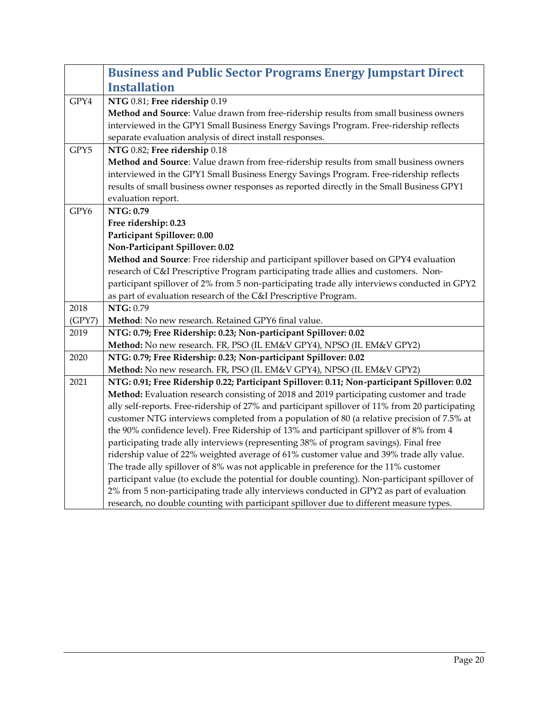<span id="page-19-0"></span>

|        | <b>Business and Public Sector Programs Energy Jumpstart Direct</b>                              |
|--------|-------------------------------------------------------------------------------------------------|
|        | <b>Installation</b>                                                                             |
| GPY4   | NTG 0.81; Free ridership 0.19                                                                   |
|        | Method and Source: Value drawn from free-ridership results from small business owners           |
|        | interviewed in the GPY1 Small Business Energy Savings Program. Free-ridership reflects          |
|        | separate evaluation analysis of direct install responses.                                       |
| GPY5   | NTG 0.82; Free ridership 0.18                                                                   |
|        | Method and Source: Value drawn from free-ridership results from small business owners           |
|        | interviewed in the GPY1 Small Business Energy Savings Program. Free-ridership reflects          |
|        | results of small business owner responses as reported directly in the Small Business GPY1       |
|        | evaluation report.                                                                              |
| GPY6   | NTG: 0.79                                                                                       |
|        | Free ridership: 0.23                                                                            |
|        | Participant Spillover: 0.00<br>Non-Participant Spillover: 0.02                                  |
|        | Method and Source: Free ridership and participant spillover based on GPY4 evaluation            |
|        | research of C&I Prescriptive Program participating trade allies and customers. Non-             |
|        | participant spillover of 2% from 5 non-participating trade ally interviews conducted in GPY2    |
|        | as part of evaluation research of the C&I Prescriptive Program.                                 |
| 2018   | NTG: 0.79                                                                                       |
| (GPY7) | Method: No new research. Retained GPY6 final value.                                             |
| 2019   | NTG: 0.79; Free Ridership: 0.23; Non-participant Spillover: 0.02                                |
|        | Method: No new research. FR, PSO (IL EM&V GPY4), NPSO (IL EM&V GPY2)                            |
| 2020   | NTG: 0.79; Free Ridership: 0.23; Non-participant Spillover: 0.02                                |
|        | Method: No new research. FR, PSO (IL EM&V GPY4), NPSO (IL EM&V GPY2)                            |
| 2021   | NTG: 0.91; Free Ridership 0.22; Participant Spillover: 0.11; Non-participant Spillover: 0.02    |
|        | Method: Evaluation research consisting of 2018 and 2019 participating customer and trade        |
|        | ally self-reports. Free-ridership of 27% and participant spillover of 11% from 20 participating |
|        | customer NTG interviews completed from a population of 80 (a relative precision of 7.5% at      |
|        | the 90% confidence level). Free Ridership of 13% and participant spillover of 8% from 4         |
|        | participating trade ally interviews (representing 38% of program savings). Final free           |
|        | ridership value of 22% weighted average of 61% customer value and 39% trade ally value.         |
|        | The trade ally spillover of 8% was not applicable in preference for the 11% customer            |
|        | participant value (to exclude the potential for double counting). Non-participant spillover of  |
|        | 2% from 5 non-participating trade ally interviews conducted in GPY2 as part of evaluation       |
|        | research, no double counting with participant spillover due to different measure types.         |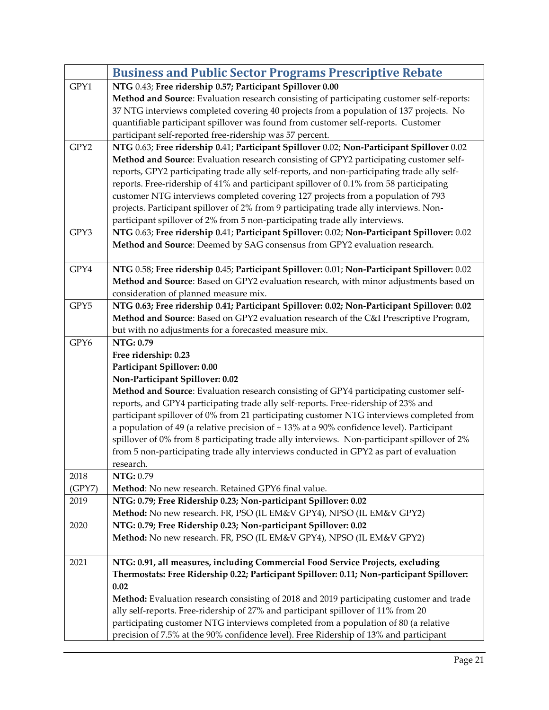<span id="page-20-0"></span>

|        | <b>Business and Public Sector Programs Prescriptive Rebate</b>                                |
|--------|-----------------------------------------------------------------------------------------------|
| GPY1   | NTG 0.43; Free ridership 0.57; Participant Spillover 0.00                                     |
|        | Method and Source: Evaluation research consisting of participating customer self-reports:     |
|        | 37 NTG interviews completed covering 40 projects from a population of 137 projects. No        |
|        | quantifiable participant spillover was found from customer self-reports. Customer             |
|        | participant self-reported free-ridership was 57 percent.                                      |
| GPY2   | NTG 0.63; Free ridership 0.41; Participant Spillover 0.02; Non-Participant Spillover 0.02     |
|        | Method and Source: Evaluation research consisting of GPY2 participating customer self-        |
|        | reports, GPY2 participating trade ally self-reports, and non-participating trade ally self-   |
|        | reports. Free-ridership of 41% and participant spillover of 0.1% from 58 participating        |
|        | customer NTG interviews completed covering 127 projects from a population of 793              |
|        | projects. Participant spillover of 2% from 9 participating trade ally interviews. Non-        |
|        | participant spillover of 2% from 5 non-participating trade ally interviews.                   |
| GPY3   | NTG 0.63; Free ridership 0.41; Participant Spillover: 0.02; Non-Participant Spillover: 0.02   |
|        | Method and Source: Deemed by SAG consensus from GPY2 evaluation research.                     |
|        |                                                                                               |
| GPY4   | NTG 0.58; Free ridership 0.45; Participant Spillover: 0.01; Non-Participant Spillover: 0.02   |
|        | Method and Source: Based on GPY2 evaluation research, with minor adjustments based on         |
|        | consideration of planned measure mix.                                                         |
| GPY5   | NTG 0.63; Free ridership 0.41; Participant Spillover: 0.02; Non-Participant Spillover: 0.02   |
|        | Method and Source: Based on GPY2 evaluation research of the C&I Prescriptive Program,         |
|        | but with no adjustments for a forecasted measure mix.                                         |
| GPY6   | NTG: 0.79                                                                                     |
|        | Free ridership: 0.23                                                                          |
|        | Participant Spillover: 0.00                                                                   |
|        | Non-Participant Spillover: 0.02                                                               |
|        | Method and Source: Evaluation research consisting of GPY4 participating customer self-        |
|        | reports, and GPY4 participating trade ally self-reports. Free-ridership of 23% and            |
|        | participant spillover of 0% from 21 participating customer NTG interviews completed from      |
|        | a population of 49 (a relative precision of $\pm$ 13% at a 90% confidence level). Participant |
|        | spillover of 0% from 8 participating trade ally interviews. Non-participant spillover of 2%   |
|        | from 5 non-participating trade ally interviews conducted in GPY2 as part of evaluation        |
| 2018   | research.<br>NTG: 0.79                                                                        |
| (GPY7) | Method: No new research. Retained GPY6 final value.                                           |
| 2019   | NTG: 0.79; Free Ridership 0.23; Non-participant Spillover: 0.02                               |
|        | Method: No new research. FR, PSO (IL EM&V GPY4), NPSO (IL EM&V GPY2)                          |
| 2020   | NTG: 0.79; Free Ridership 0.23; Non-participant Spillover: 0.02                               |
|        | Method: No new research. FR, PSO (IL EM&V GPY4), NPSO (IL EM&V GPY2)                          |
|        |                                                                                               |
| 2021   | NTG: 0.91, all measures, including Commercial Food Service Projects, excluding                |
|        | Thermostats: Free Ridership 0.22; Participant Spillover: 0.11; Non-participant Spillover:     |
|        | 0.02                                                                                          |
|        | Method: Evaluation research consisting of 2018 and 2019 participating customer and trade      |
|        | ally self-reports. Free-ridership of 27% and participant spillover of 11% from 20             |
|        | participating customer NTG interviews completed from a population of 80 (a relative           |
|        | precision of 7.5% at the 90% confidence level). Free Ridership of 13% and participant         |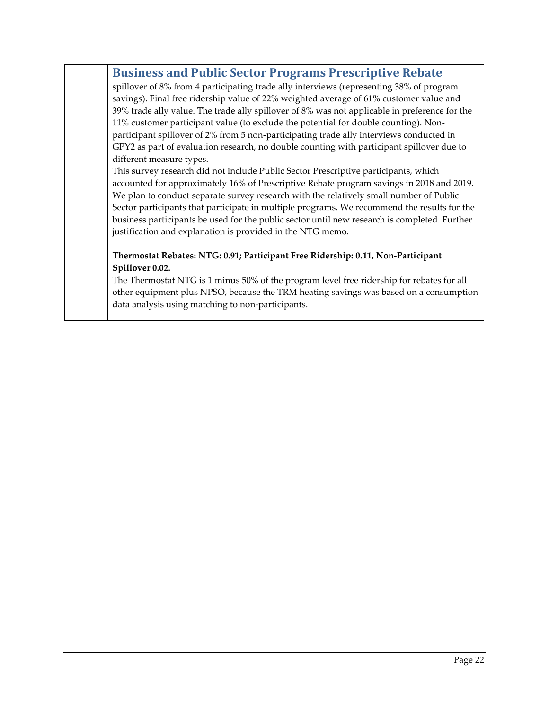| <b>Business and Public Sector Programs Prescriptive Rebate</b>                                |
|-----------------------------------------------------------------------------------------------|
| spillover of 8% from 4 participating trade ally interviews (representing 38% of program       |
| savings). Final free ridership value of 22% weighted average of 61% customer value and        |
| 39% trade ally value. The trade ally spillover of 8% was not applicable in preference for the |
| 11% customer participant value (to exclude the potential for double counting). Non-           |
| participant spillover of 2% from 5 non-participating trade ally interviews conducted in       |
| GPY2 as part of evaluation research, no double counting with participant spillover due to     |
| different measure types.                                                                      |
| This survey research did not include Public Sector Prescriptive participants, which           |
| accounted for approximately 16% of Prescriptive Rebate program savings in 2018 and 2019.      |
| We plan to conduct separate survey research with the relatively small number of Public        |
| Sector participants that participate in multiple programs. We recommend the results for the   |
| business participants be used for the public sector until new research is completed. Further  |
| justification and explanation is provided in the NTG memo.                                    |
|                                                                                               |
| Thermostat Rebates: NTG: 0.91; Participant Free Ridership: 0.11, Non-Participant              |
| Spillover 0.02.                                                                               |
| The Thermostat NTG is 1 minus 50% of the program level free ridership for rebates for all     |
| other equipment plus NPSO, because the TRM heating savings was based on a consumption         |
| data analysis using matching to non-participants.                                             |
|                                                                                               |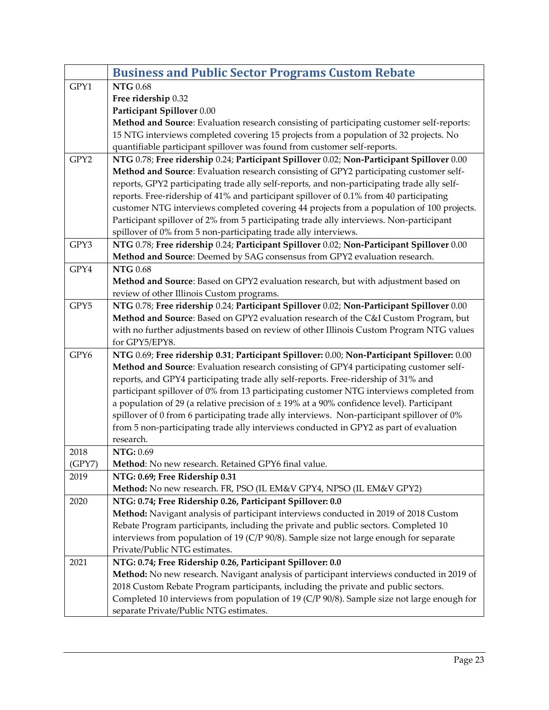<span id="page-22-0"></span>

|        | <b>Business and Public Sector Programs Custom Rebate</b>                                                                                                                                  |
|--------|-------------------------------------------------------------------------------------------------------------------------------------------------------------------------------------------|
| GPY1   | <b>NTG 0.68</b>                                                                                                                                                                           |
|        | Free ridership 0.32                                                                                                                                                                       |
|        | Participant Spillover 0.00                                                                                                                                                                |
|        | Method and Source: Evaluation research consisting of participating customer self-reports:                                                                                                 |
|        | 15 NTG interviews completed covering 15 projects from a population of 32 projects. No                                                                                                     |
|        | quantifiable participant spillover was found from customer self-reports.                                                                                                                  |
| GPY2   | NTG 0.78; Free ridership 0.24; Participant Spillover 0.02; Non-Participant Spillover 0.00                                                                                                 |
|        | Method and Source: Evaluation research consisting of GPY2 participating customer self-                                                                                                    |
|        | reports, GPY2 participating trade ally self-reports, and non-participating trade ally self-                                                                                               |
|        | reports. Free-ridership of 41% and participant spillover of 0.1% from 40 participating                                                                                                    |
|        | customer NTG interviews completed covering 44 projects from a population of 100 projects.                                                                                                 |
|        | Participant spillover of 2% from 5 participating trade ally interviews. Non-participant                                                                                                   |
|        | spillover of 0% from 5 non-participating trade ally interviews.                                                                                                                           |
| GPY3   | NTG 0.78; Free ridership 0.24; Participant Spillover 0.02; Non-Participant Spillover 0.00                                                                                                 |
|        | Method and Source: Deemed by SAG consensus from GPY2 evaluation research.                                                                                                                 |
| GPY4   | <b>NTG</b> 0.68                                                                                                                                                                           |
|        | Method and Source: Based on GPY2 evaluation research, but with adjustment based on                                                                                                        |
|        | review of other Illinois Custom programs.                                                                                                                                                 |
| GPY5   | NTG 0.78; Free ridership 0.24; Participant Spillover 0.02; Non-Participant Spillover 0.00                                                                                                 |
|        | Method and Source: Based on GPY2 evaluation research of the C&I Custom Program, but                                                                                                       |
|        | with no further adjustments based on review of other Illinois Custom Program NTG values                                                                                                   |
|        | for GPY5/EPY8.                                                                                                                                                                            |
| GPY6   | NTG 0.69; Free ridership 0.31; Participant Spillover: 0.00; Non-Participant Spillover: 0.00                                                                                               |
|        | Method and Source: Evaluation research consisting of GPY4 participating customer self-                                                                                                    |
|        | reports, and GPY4 participating trade ally self-reports. Free-ridership of 31% and                                                                                                        |
|        | participant spillover of 0% from 13 participating customer NTG interviews completed from<br>a population of 29 (a relative precision of $\pm$ 19% at a 90% confidence level). Participant |
|        | spillover of 0 from 6 participating trade ally interviews. Non-participant spillover of 0%                                                                                                |
|        | from 5 non-participating trade ally interviews conducted in GPY2 as part of evaluation                                                                                                    |
|        | research.                                                                                                                                                                                 |
| 2018   | NTG: 0.69                                                                                                                                                                                 |
| (GPY7) | Method: No new research. Retained GPY6 final value                                                                                                                                        |
| 2019   | NTG: 0.69; Free Ridership 0.31                                                                                                                                                            |
|        | Method: No new research. FR, PSO (IL EM&V GPY4, NPSO (IL EM&V GPY2)                                                                                                                       |
| 2020   | NTG: 0.74; Free Ridership 0.26, Participant Spillover: 0.0                                                                                                                                |
|        | Method: Navigant analysis of participant interviews conducted in 2019 of 2018 Custom                                                                                                      |
|        | Rebate Program participants, including the private and public sectors. Completed 10                                                                                                       |
|        | interviews from population of 19 ( $C/P$ 90/8). Sample size not large enough for separate                                                                                                 |
|        | Private/Public NTG estimates.                                                                                                                                                             |
| 2021   | NTG: 0.74; Free Ridership 0.26, Participant Spillover: 0.0                                                                                                                                |
|        | Method: No new research. Navigant analysis of participant interviews conducted in 2019 of                                                                                                 |
|        | 2018 Custom Rebate Program participants, including the private and public sectors.                                                                                                        |
|        | Completed 10 interviews from population of 19 (C/P 90/8). Sample size not large enough for                                                                                                |
|        | separate Private/Public NTG estimates.                                                                                                                                                    |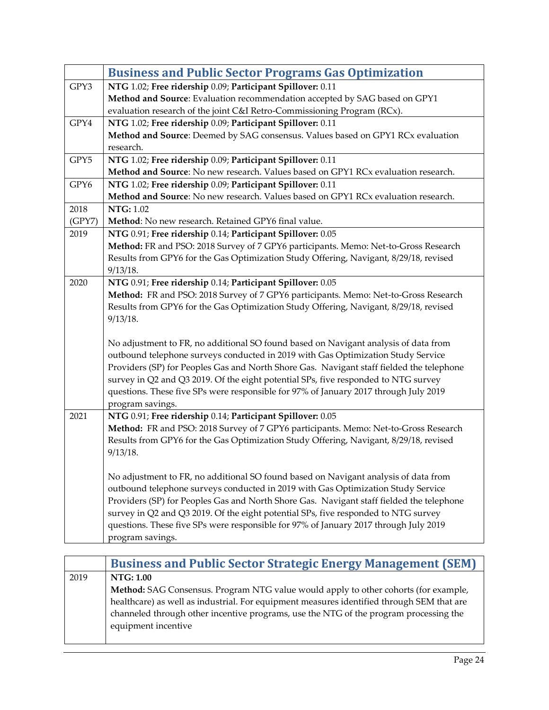<span id="page-23-0"></span>

|        | <b>Business and Public Sector Programs Gas Optimization</b>                              |
|--------|------------------------------------------------------------------------------------------|
| GPY3   | NTG 1.02; Free ridership 0.09; Participant Spillover: 0.11                               |
|        | Method and Source: Evaluation recommendation accepted by SAG based on GPY1               |
|        | evaluation research of the joint C&I Retro-Commissioning Program (RCx).                  |
| GPY4   | NTG 1.02; Free ridership 0.09; Participant Spillover: 0.11                               |
|        | Method and Source: Deemed by SAG consensus. Values based on GPY1 RCx evaluation          |
|        | research.                                                                                |
| GPY5   | NTG 1.02; Free ridership 0.09; Participant Spillover: 0.11                               |
|        | Method and Source: No new research. Values based on GPY1 RCx evaluation research.        |
| GPY6   | NTG 1.02; Free ridership 0.09; Participant Spillover: 0.11                               |
|        | Method and Source: No new research. Values based on GPY1 RCx evaluation research.        |
| 2018   | <b>NTG: 1.02</b>                                                                         |
| (GPY7) | Method: No new research. Retained GPY6 final value.                                      |
| 2019   | NTG 0.91; Free ridership 0.14; Participant Spillover: 0.05                               |
|        | Method: FR and PSO: 2018 Survey of 7 GPY6 participants. Memo: Net-to-Gross Research      |
|        | Results from GPY6 for the Gas Optimization Study Offering, Navigant, 8/29/18, revised    |
|        | 9/13/18.                                                                                 |
| 2020   | NTG 0.91; Free ridership 0.14; Participant Spillover: 0.05                               |
|        | Method: FR and PSO: 2018 Survey of 7 GPY6 participants. Memo: Net-to-Gross Research      |
|        | Results from GPY6 for the Gas Optimization Study Offering, Navigant, 8/29/18, revised    |
|        | 9/13/18.                                                                                 |
|        |                                                                                          |
|        | No adjustment to FR, no additional SO found based on Navigant analysis of data from      |
|        | outbound telephone surveys conducted in 2019 with Gas Optimization Study Service         |
|        | Providers (SP) for Peoples Gas and North Shore Gas. Navigant staff fielded the telephone |
|        | survey in Q2 and Q3 2019. Of the eight potential SPs, five responded to NTG survey       |
|        | questions. These five SPs were responsible for 97% of January 2017 through July 2019     |
|        | program savings.                                                                         |
| 2021   | NTG 0.91; Free ridership 0.14; Participant Spillover: 0.05                               |
|        | Method: FR and PSO: 2018 Survey of 7 GPY6 participants. Memo: Net-to-Gross Research      |
|        | Results from GPY6 for the Gas Optimization Study Offering, Navigant, 8/29/18, revised    |
|        | 9/13/18.                                                                                 |
|        | No adjustment to FR, no additional SO found based on Navigant analysis of data from      |
|        | outbound telephone surveys conducted in 2019 with Gas Optimization Study Service         |
|        | Providers (SP) for Peoples Gas and North Shore Gas. Navigant staff fielded the telephone |
|        | survey in Q2 and Q3 2019. Of the eight potential SPs, five responded to NTG survey       |
|        | questions. These five SPs were responsible for 97% of January 2017 through July 2019     |
|        | program savings.                                                                         |
|        |                                                                                          |

<span id="page-23-1"></span>

|      | <b>Business and Public Sector Strategic Energy Management (SEM)</b>                       |
|------|-------------------------------------------------------------------------------------------|
| 2019 | <b>NTG: 1.00</b>                                                                          |
|      | Method: SAG Consensus. Program NTG value would apply to other cohorts (for example,       |
|      | healthcare) as well as industrial. For equipment measures identified through SEM that are |
|      | channeled through other incentive programs, use the NTG of the program processing the     |
|      | equipment incentive                                                                       |
|      |                                                                                           |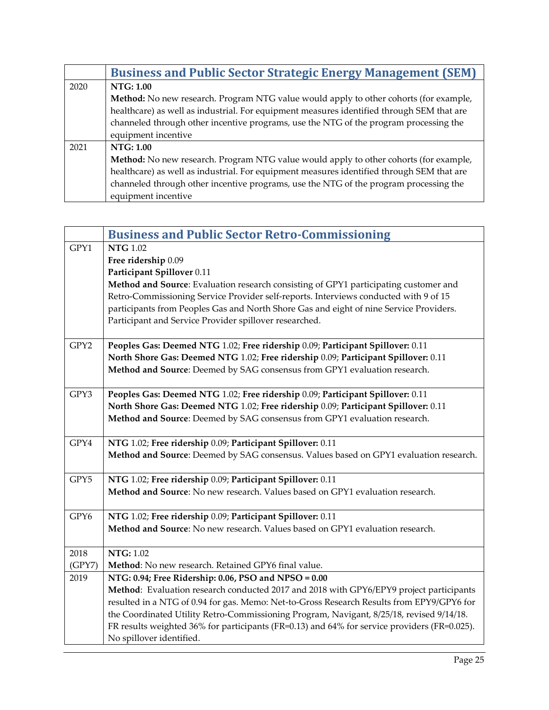|      | <b>Business and Public Sector Strategic Energy Management (SEM)</b>                       |
|------|-------------------------------------------------------------------------------------------|
| 2020 | NTG: 1.00                                                                                 |
|      | Method: No new research. Program NTG value would apply to other cohorts (for example,     |
|      | healthcare) as well as industrial. For equipment measures identified through SEM that are |
|      | channeled through other incentive programs, use the NTG of the program processing the     |
|      | equipment incentive                                                                       |
| 2021 | NTG: 1.00                                                                                 |
|      | Method: No new research. Program NTG value would apply to other cohorts (for example,     |
|      | healthcare) as well as industrial. For equipment measures identified through SEM that are |
|      | channeled through other incentive programs, use the NTG of the program processing the     |
|      | equipment incentive                                                                       |

<span id="page-24-0"></span>

|        | <b>Business and Public Sector Retro-Commissioning</b>                                        |
|--------|----------------------------------------------------------------------------------------------|
| GPY1   | <b>NTG</b> 1.02                                                                              |
|        | Free ridership 0.09                                                                          |
|        | Participant Spillover 0.11                                                                   |
|        | Method and Source: Evaluation research consisting of GPY1 participating customer and         |
|        | Retro-Commissioning Service Provider self-reports. Interviews conducted with 9 of 15         |
|        | participants from Peoples Gas and North Shore Gas and eight of nine Service Providers.       |
|        | Participant and Service Provider spillover researched.                                       |
| GPY2   | Peoples Gas: Deemed NTG 1.02; Free ridership 0.09; Participant Spillover: 0.11               |
|        | North Shore Gas: Deemed NTG 1.02; Free ridership 0.09; Participant Spillover: 0.11           |
|        | Method and Source: Deemed by SAG consensus from GPY1 evaluation research.                    |
| GPY3   | Peoples Gas: Deemed NTG 1.02; Free ridership 0.09; Participant Spillover: 0.11               |
|        | North Shore Gas: Deemed NTG 1.02; Free ridership 0.09; Participant Spillover: 0.11           |
|        | Method and Source: Deemed by SAG consensus from GPY1 evaluation research.                    |
| GPY4   | NTG 1.02; Free ridership 0.09; Participant Spillover: 0.11                                   |
|        | Method and Source: Deemed by SAG consensus. Values based on GPY1 evaluation research.        |
| GPY5   | NTG 1.02; Free ridership 0.09; Participant Spillover: 0.11                                   |
|        | Method and Source: No new research. Values based on GPY1 evaluation research.                |
| GPY6   | NTG 1.02; Free ridership 0.09; Participant Spillover: 0.11                                   |
|        | Method and Source: No new research. Values based on GPY1 evaluation research.                |
| 2018   | <b>NTG: 1.02</b>                                                                             |
| (GPY7) | Method: No new research. Retained GPY6 final value.                                          |
| 2019   | NTG: 0.94; Free Ridership: 0.06, PSO and NPSO = 0.00                                         |
|        | Method: Evaluation research conducted 2017 and 2018 with GPY6/EPY9 project participants      |
|        | resulted in a NTG of 0.94 for gas. Memo: Net-to-Gross Research Results from EPY9/GPY6 for    |
|        | the Coordinated Utility Retro-Commissioning Program, Navigant, 8/25/18, revised 9/14/18.     |
|        | FR results weighted 36% for participants (FR=0.13) and 64% for service providers (FR=0.025). |
|        | No spillover identified.                                                                     |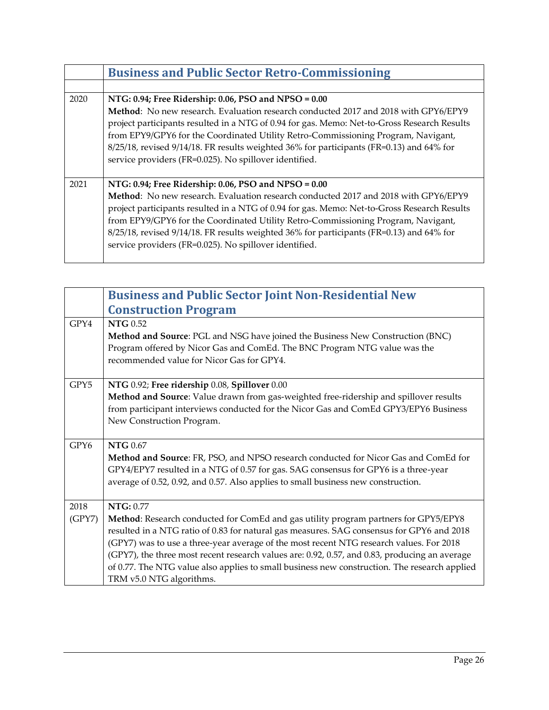|      | <b>Business and Public Sector Retro-Commissioning</b>                                                                                                                                                                                                                                                                                                                                                                                                                                       |
|------|---------------------------------------------------------------------------------------------------------------------------------------------------------------------------------------------------------------------------------------------------------------------------------------------------------------------------------------------------------------------------------------------------------------------------------------------------------------------------------------------|
|      |                                                                                                                                                                                                                                                                                                                                                                                                                                                                                             |
| 2020 | NTG: 0.94; Free Ridership: 0.06, PSO and NPSO = 0.00<br>Method: No new research. Evaluation research conducted 2017 and 2018 with GPY6/EPY9<br>project participants resulted in a NTG of 0.94 for gas. Memo: Net-to-Gross Research Results<br>from EPY9/GPY6 for the Coordinated Utility Retro-Commissioning Program, Navigant,<br>8/25/18, revised 9/14/18. FR results weighted 36% for participants (FR=0.13) and 64% for<br>service providers (FR=0.025). No spillover identified.       |
| 2021 | NTG: 0.94; Free Ridership: 0.06, PSO and NPSO = 0.00<br>Method: No new research. Evaluation research conducted 2017 and 2018 with GPY6/EPY9<br>project participants resulted in a NTG of 0.94 for gas. Memo: Net-to-Gross Research Results<br>from EPY9/GPY6 for the Coordinated Utility Retro-Commissioning Program, Navigant,<br>$8/25/18$ , revised $9/14/18$ . FR results weighted 36% for participants (FR=0.13) and 64% for<br>service providers (FR=0.025). No spillover identified. |

<span id="page-25-0"></span>

| <b>Business and Public Sector Joint Non-Residential New</b>                                                                                                                      |
|----------------------------------------------------------------------------------------------------------------------------------------------------------------------------------|
| <b>Construction Program</b>                                                                                                                                                      |
| <b>NTG</b> 0.52                                                                                                                                                                  |
| Method and Source: PGL and NSG have joined the Business New Construction (BNC)                                                                                                   |
| Program offered by Nicor Gas and ComEd. The BNC Program NTG value was the                                                                                                        |
| recommended value for Nicor Gas for GPY4.                                                                                                                                        |
| NTG 0.92; Free ridership 0.08, Spillover 0.00                                                                                                                                    |
| Method and Source: Value drawn from gas-weighted free-ridership and spillover results                                                                                            |
| from participant interviews conducted for the Nicor Gas and ComEd GPY3/EPY6 Business                                                                                             |
| New Construction Program.                                                                                                                                                        |
|                                                                                                                                                                                  |
| <b>NTG 0.67</b>                                                                                                                                                                  |
| Method and Source: FR, PSO, and NPSO research conducted for Nicor Gas and ComEd for                                                                                              |
| GPY4/EPY7 resulted in a NTG of 0.57 for gas. SAG consensus for GPY6 is a three-year                                                                                              |
| average of 0.52, 0.92, and 0.57. Also applies to small business new construction.                                                                                                |
| NTG: 0.77                                                                                                                                                                        |
|                                                                                                                                                                                  |
| Method: Research conducted for ComEd and gas utility program partners for GPY5/EPY8<br>resulted in a NTG ratio of 0.83 for natural gas measures. SAG consensus for GPY6 and 2018 |
| (GPY7) was to use a three-year average of the most recent NTG research values. For 2018                                                                                          |
| (GPY7), the three most recent research values are: 0.92, 0.57, and 0.83, producing an average                                                                                    |
| of 0.77. The NTG value also applies to small business new construction. The research applied                                                                                     |
| TRM v5.0 NTG algorithms.                                                                                                                                                         |
|                                                                                                                                                                                  |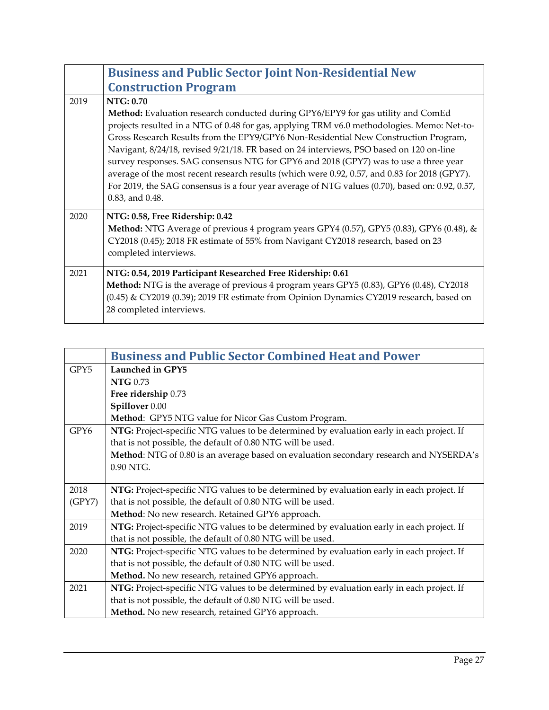|      | <b>Business and Public Sector Joint Non-Residential New</b>                                                                                                                                                                                                                                                                                                                                                                                                                                                                                                                                                                                                                                 |
|------|---------------------------------------------------------------------------------------------------------------------------------------------------------------------------------------------------------------------------------------------------------------------------------------------------------------------------------------------------------------------------------------------------------------------------------------------------------------------------------------------------------------------------------------------------------------------------------------------------------------------------------------------------------------------------------------------|
|      | <b>Construction Program</b>                                                                                                                                                                                                                                                                                                                                                                                                                                                                                                                                                                                                                                                                 |
| 2019 | NTG: 0.70<br>Method: Evaluation research conducted during GPY6/EPY9 for gas utility and ComEd<br>projects resulted in a NTG of 0.48 for gas, applying TRM v6.0 methodologies. Memo: Net-to-<br>Gross Research Results from the EPY9/GPY6 Non-Residential New Construction Program,<br>Navigant, 8/24/18, revised 9/21/18. FR based on 24 interviews, PSO based on 120 on-line<br>survey responses. SAG consensus NTG for GPY6 and 2018 (GPY7) was to use a three year<br>average of the most recent research results (which were 0.92, 0.57, and 0.83 for 2018 (GPY7).<br>For 2019, the SAG consensus is a four year average of NTG values (0.70), based on: 0.92, 0.57,<br>0.83, and 0.48. |
| 2020 | NTG: 0.58, Free Ridership: 0.42<br>Method: NTG Average of previous 4 program years GPY4 (0.57), GPY5 (0.83), GPY6 (0.48), &<br>CY2018 (0.45); 2018 FR estimate of 55% from Navigant CY2018 research, based on 23<br>completed interviews.                                                                                                                                                                                                                                                                                                                                                                                                                                                   |
| 2021 | NTG: 0.54, 2019 Participant Researched Free Ridership: 0.61<br>Method: NTG is the average of previous 4 program years GPY5 (0.83), GPY6 (0.48), CY2018<br>(0.45) & CY2019 (0.39); 2019 FR estimate from Opinion Dynamics CY2019 research, based on<br>28 completed interviews.                                                                                                                                                                                                                                                                                                                                                                                                              |

<span id="page-26-0"></span>

|                  | <b>Business and Public Sector Combined Heat and Power</b>                                 |
|------------------|-------------------------------------------------------------------------------------------|
| GPY <sub>5</sub> | Launched in GPY5                                                                          |
|                  | <b>NTG</b> 0.73                                                                           |
|                  | Free ridership 0.73                                                                       |
|                  | Spillover 0.00                                                                            |
|                  | Method: GPY5 NTG value for Nicor Gas Custom Program.                                      |
| GPY6             | NTG: Project-specific NTG values to be determined by evaluation early in each project. If |
|                  | that is not possible, the default of 0.80 NTG will be used.                               |
|                  | Method: NTG of 0.80 is an average based on evaluation secondary research and NYSERDA's    |
|                  | 0.90 NTG.                                                                                 |
|                  |                                                                                           |
| 2018             | NTG: Project-specific NTG values to be determined by evaluation early in each project. If |
| (GPY7)           | that is not possible, the default of 0.80 NTG will be used.                               |
|                  | Method: No new research. Retained GPY6 approach.                                          |
| 2019             | NTG: Project-specific NTG values to be determined by evaluation early in each project. If |
|                  | that is not possible, the default of 0.80 NTG will be used.                               |
| 2020             | NTG: Project-specific NTG values to be determined by evaluation early in each project. If |
|                  | that is not possible, the default of 0.80 NTG will be used.                               |
|                  | Method. No new research, retained GPY6 approach.                                          |
| 2021             | NTG: Project-specific NTG values to be determined by evaluation early in each project. If |
|                  | that is not possible, the default of 0.80 NTG will be used.                               |
|                  | Method. No new research, retained GPY6 approach.                                          |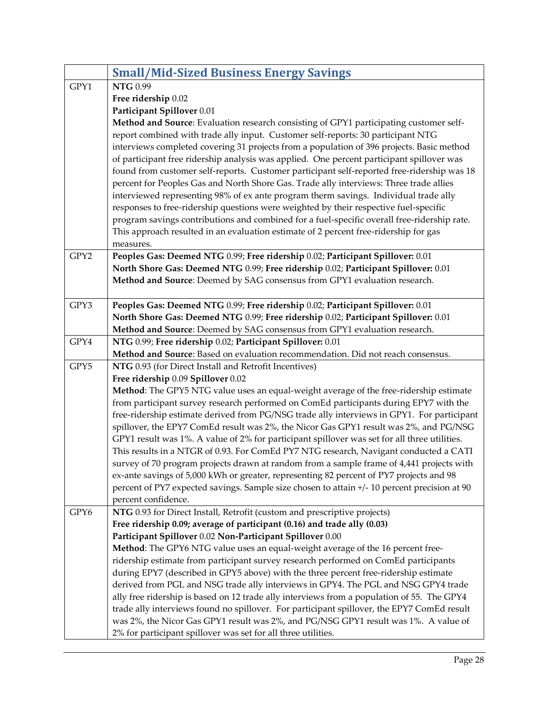<span id="page-27-0"></span>

|      | <b>Small/Mid-Sized Business Energy Savings</b>                                               |
|------|----------------------------------------------------------------------------------------------|
| GPY1 | <b>NTG 0.99</b>                                                                              |
|      | Free ridership 0.02                                                                          |
|      | Participant Spillover 0.01                                                                   |
|      | Method and Source: Evaluation research consisting of GPY1 participating customer self-       |
|      | report combined with trade ally input. Customer self-reports: 30 participant NTG             |
|      | interviews completed covering 31 projects from a population of 396 projects. Basic method    |
|      | of participant free ridership analysis was applied. One percent participant spillover was    |
|      | found from customer self-reports. Customer participant self-reported free-ridership was 18   |
|      | percent for Peoples Gas and North Shore Gas. Trade ally interviews: Three trade allies       |
|      | interviewed representing 98% of ex ante program therm savings. Individual trade ally         |
|      | responses to free-ridership questions were weighted by their respective fuel-specific        |
|      | program savings contributions and combined for a fuel-specific overall free-ridership rate.  |
|      | This approach resulted in an evaluation estimate of 2 percent free-ridership for gas         |
|      | measures.                                                                                    |
| GPY2 | Peoples Gas: Deemed NTG 0.99; Free ridership 0.02; Participant Spillover: 0.01               |
|      | North Shore Gas: Deemed NTG 0.99; Free ridership 0.02; Participant Spillover: 0.01           |
|      | Method and Source: Deemed by SAG consensus from GPY1 evaluation research.                    |
|      |                                                                                              |
| GPY3 | Peoples Gas: Deemed NTG 0.99; Free ridership 0.02; Participant Spillover: 0.01               |
|      | North Shore Gas: Deemed NTG 0.99; Free ridership 0.02; Participant Spillover: 0.01           |
|      | Method and Source: Deemed by SAG consensus from GPY1 evaluation research.                    |
| GPY4 | NTG 0.99; Free ridership 0.02; Participant Spillover: 0.01                                   |
|      | Method and Source: Based on evaluation recommendation. Did not reach consensus.              |
| GPY5 | NTG 0.93 (for Direct Install and Retrofit Incentives)                                        |
|      | Free ridership 0.09 Spillover 0.02                                                           |
|      | Method: The GPY5 NTG value uses an equal-weight average of the free-ridership estimate       |
|      | from participant survey research performed on ComEd participants during EPY7 with the        |
|      | free-ridership estimate derived from PG/NSG trade ally interviews in GPY1. For participant   |
|      | spillover, the EPY7 ComEd result was 2%, the Nicor Gas GPY1 result was 2%, and PG/NSG        |
|      | GPY1 result was 1%. A value of 2% for participant spillover was set for all three utilities. |
|      | This results in a NTGR of 0.93. For ComEd PY7 NTG research, Navigant conducted a CATI        |
|      | survey of 70 program projects drawn at random from a sample frame of 4,441 projects with     |
|      | ex-ante savings of 5,000 kWh or greater, representing 82 percent of PY7 projects and 98      |
|      | percent of PY7 expected savings. Sample size chosen to attain +/- 10 percent precision at 90 |
|      | percent confidence.                                                                          |
| GPY6 | NTG 0.93 for Direct Install, Retrofit (custom and prescriptive projects)                     |
|      | Free ridership 0.09; average of participant (0.16) and trade ally (0.03)                     |
|      | Participant Spillover 0.02 Non-Participant Spillover 0.00                                    |
|      | Method: The GPY6 NTG value uses an equal-weight average of the 16 percent free-              |
|      | ridership estimate from participant survey research performed on ComEd participants          |
|      | during EPY7 (described in GPY5 above) with the three percent free-ridership estimate         |
|      | derived from PGL and NSG trade ally interviews in GPY4. The PGL and NSG GPY4 trade           |
|      | ally free ridership is based on 12 trade ally interviews from a population of 55. The GPY4   |
|      | trade ally interviews found no spillover. For participant spillover, the EPY7 ComEd result   |
|      | was 2%, the Nicor Gas GPY1 result was 2%, and PG/NSG GPY1 result was 1%. A value of          |
|      | 2% for participant spillover was set for all three utilities.                                |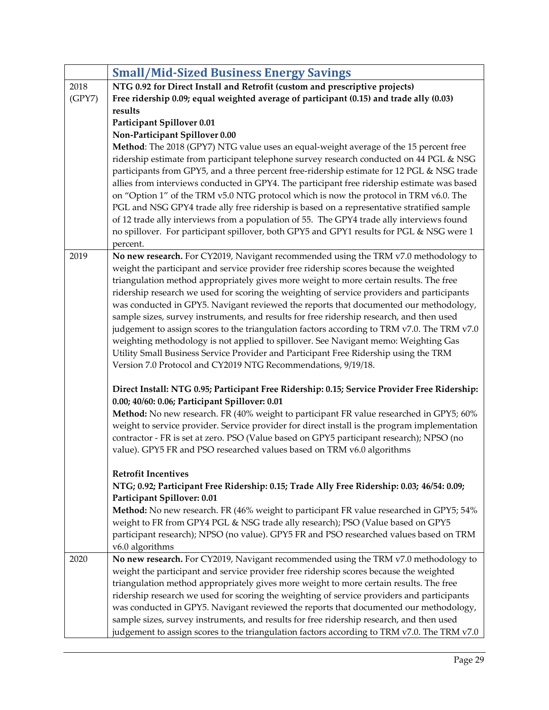|        | <b>Small/Mid-Sized Business Energy Savings</b>                                                |
|--------|-----------------------------------------------------------------------------------------------|
| 2018   | NTG 0.92 for Direct Install and Retrofit (custom and prescriptive projects)                   |
| (GPY7) | Free ridership 0.09; equal weighted average of participant (0.15) and trade ally (0.03)       |
|        | results                                                                                       |
|        | Participant Spillover 0.01                                                                    |
|        | Non-Participant Spillover 0.00                                                                |
|        | Method: The 2018 (GPY7) NTG value uses an equal-weight average of the 15 percent free         |
|        | ridership estimate from participant telephone survey research conducted on 44 PGL & NSG       |
|        | participants from GPY5, and a three percent free-ridership estimate for 12 PGL & NSG trade    |
|        | allies from interviews conducted in GPY4. The participant free ridership estimate was based   |
|        | on "Option 1" of the TRM v5.0 NTG protocol which is now the protocol in TRM v6.0. The         |
|        | PGL and NSG GPY4 trade ally free ridership is based on a representative stratified sample     |
|        | of 12 trade ally interviews from a population of 55. The GPY4 trade ally interviews found     |
|        | no spillover. For participant spillover, both GPY5 and GPY1 results for PGL & NSG were 1      |
|        | percent.                                                                                      |
| 2019   | No new research. For CY2019, Navigant recommended using the TRM v7.0 methodology to           |
|        | weight the participant and service provider free ridership scores because the weighted        |
|        | triangulation method appropriately gives more weight to more certain results. The free        |
|        | ridership research we used for scoring the weighting of service providers and participants    |
|        | was conducted in GPY5. Navigant reviewed the reports that documented our methodology,         |
|        | sample sizes, survey instruments, and results for free ridership research, and then used      |
|        | judgement to assign scores to the triangulation factors according to TRM v7.0. The TRM v7.0   |
|        | weighting methodology is not applied to spillover. See Navigant memo: Weighting Gas           |
|        | Utility Small Business Service Provider and Participant Free Ridership using the TRM          |
|        | Version 7.0 Protocol and CY2019 NTG Recommendations, 9/19/18.                                 |
|        | Direct Install: NTG 0.95; Participant Free Ridership: 0.15; Service Provider Free Ridership:  |
|        | 0.00; 40/60: 0.06; Participant Spillover: 0.01                                                |
|        | Method: No new research. FR (40% weight to participant FR value researched in GPY5; 60%       |
|        | weight to service provider. Service provider for direct install is the program implementation |
|        | contractor - FR is set at zero. PSO (Value based on GPY5 participant research); NPSO (no      |
|        | value). GPY5 FR and PSO researched values based on TRM v6.0 algorithms                        |
|        |                                                                                               |
|        | <b>Retrofit Incentives</b>                                                                    |
|        | NTG; 0.92; Participant Free Ridership: 0.15; Trade Ally Free Ridership: 0.03; 46/54: 0.09;    |
|        | Participant Spillover: 0.01                                                                   |
|        | Method: No new research. FR (46% weight to participant FR value researched in GPY5; 54%       |
|        | weight to FR from GPY4 PGL & NSG trade ally research); PSO (Value based on GPY5               |
|        | participant research); NPSO (no value). GPY5 FR and PSO researched values based on TRM        |
|        | v6.0 algorithms                                                                               |
| 2020   | No new research. For CY2019, Navigant recommended using the TRM v7.0 methodology to           |
|        | weight the participant and service provider free ridership scores because the weighted        |
|        | triangulation method appropriately gives more weight to more certain results. The free        |
|        | ridership research we used for scoring the weighting of service providers and participants    |
|        | was conducted in GPY5. Navigant reviewed the reports that documented our methodology,         |
|        | sample sizes, survey instruments, and results for free ridership research, and then used      |
|        | judgement to assign scores to the triangulation factors according to TRM v7.0. The TRM v7.0   |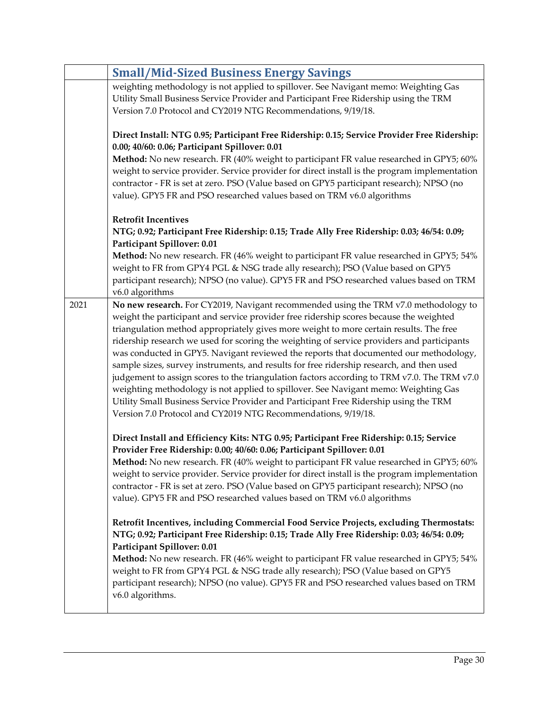|      | <b>Small/Mid-Sized Business Energy Savings</b>                                                                                                                                                                                                                                                                                                                                                                                                                                                                                                                                                                                                                                                                           |
|------|--------------------------------------------------------------------------------------------------------------------------------------------------------------------------------------------------------------------------------------------------------------------------------------------------------------------------------------------------------------------------------------------------------------------------------------------------------------------------------------------------------------------------------------------------------------------------------------------------------------------------------------------------------------------------------------------------------------------------|
|      | weighting methodology is not applied to spillover. See Navigant memo: Weighting Gas                                                                                                                                                                                                                                                                                                                                                                                                                                                                                                                                                                                                                                      |
|      | Utility Small Business Service Provider and Participant Free Ridership using the TRM                                                                                                                                                                                                                                                                                                                                                                                                                                                                                                                                                                                                                                     |
|      | Version 7.0 Protocol and CY2019 NTG Recommendations, 9/19/18.                                                                                                                                                                                                                                                                                                                                                                                                                                                                                                                                                                                                                                                            |
|      | Direct Install: NTG 0.95; Participant Free Ridership: 0.15; Service Provider Free Ridership:                                                                                                                                                                                                                                                                                                                                                                                                                                                                                                                                                                                                                             |
|      | 0.00; 40/60: 0.06; Participant Spillover: 0.01                                                                                                                                                                                                                                                                                                                                                                                                                                                                                                                                                                                                                                                                           |
|      | Method: No new research. FR (40% weight to participant FR value researched in GPY5; 60%                                                                                                                                                                                                                                                                                                                                                                                                                                                                                                                                                                                                                                  |
|      | weight to service provider. Service provider for direct install is the program implementation                                                                                                                                                                                                                                                                                                                                                                                                                                                                                                                                                                                                                            |
|      | contractor - FR is set at zero. PSO (Value based on GPY5 participant research); NPSO (no                                                                                                                                                                                                                                                                                                                                                                                                                                                                                                                                                                                                                                 |
|      | value). GPY5 FR and PSO researched values based on TRM v6.0 algorithms                                                                                                                                                                                                                                                                                                                                                                                                                                                                                                                                                                                                                                                   |
|      | <b>Retrofit Incentives</b>                                                                                                                                                                                                                                                                                                                                                                                                                                                                                                                                                                                                                                                                                               |
|      | NTG; 0.92; Participant Free Ridership: 0.15; Trade Ally Free Ridership: 0.03; 46/54: 0.09;                                                                                                                                                                                                                                                                                                                                                                                                                                                                                                                                                                                                                               |
|      | Participant Spillover: 0.01                                                                                                                                                                                                                                                                                                                                                                                                                                                                                                                                                                                                                                                                                              |
|      | Method: No new research. FR (46% weight to participant FR value researched in GPY5; 54%                                                                                                                                                                                                                                                                                                                                                                                                                                                                                                                                                                                                                                  |
|      | weight to FR from GPY4 PGL & NSG trade ally research); PSO (Value based on GPY5                                                                                                                                                                                                                                                                                                                                                                                                                                                                                                                                                                                                                                          |
|      | participant research); NPSO (no value). GPY5 FR and PSO researched values based on TRM                                                                                                                                                                                                                                                                                                                                                                                                                                                                                                                                                                                                                                   |
|      | v6.0 algorithms                                                                                                                                                                                                                                                                                                                                                                                                                                                                                                                                                                                                                                                                                                          |
| 2021 | No new research. For CY2019, Navigant recommended using the TRM v7.0 methodology to<br>weight the participant and service provider free ridership scores because the weighted                                                                                                                                                                                                                                                                                                                                                                                                                                                                                                                                            |
|      | triangulation method appropriately gives more weight to more certain results. The free<br>ridership research we used for scoring the weighting of service providers and participants<br>was conducted in GPY5. Navigant reviewed the reports that documented our methodology,<br>sample sizes, survey instruments, and results for free ridership research, and then used<br>judgement to assign scores to the triangulation factors according to TRM v7.0. The TRM v7.0<br>weighting methodology is not applied to spillover. See Navigant memo: Weighting Gas<br>Utility Small Business Service Provider and Participant Free Ridership using the TRM<br>Version 7.0 Protocol and CY2019 NTG Recommendations, 9/19/18. |
|      | Direct Install and Efficiency Kits: NTG 0.95; Participant Free Ridership: 0.15; Service<br>Provider Free Ridership: 0.00; 40/60: 0.06; Participant Spillover: 0.01                                                                                                                                                                                                                                                                                                                                                                                                                                                                                                                                                       |
|      | Method: No new research. FR (40% weight to participant FR value researched in GPY5; 60%                                                                                                                                                                                                                                                                                                                                                                                                                                                                                                                                                                                                                                  |
|      | weight to service provider. Service provider for direct install is the program implementation                                                                                                                                                                                                                                                                                                                                                                                                                                                                                                                                                                                                                            |
|      | contractor - FR is set at zero. PSO (Value based on GPY5 participant research); NPSO (no                                                                                                                                                                                                                                                                                                                                                                                                                                                                                                                                                                                                                                 |
|      | value). GPY5 FR and PSO researched values based on TRM v6.0 algorithms                                                                                                                                                                                                                                                                                                                                                                                                                                                                                                                                                                                                                                                   |
|      |                                                                                                                                                                                                                                                                                                                                                                                                                                                                                                                                                                                                                                                                                                                          |
|      | Retrofit Incentives, including Commercial Food Service Projects, excluding Thermostats:                                                                                                                                                                                                                                                                                                                                                                                                                                                                                                                                                                                                                                  |
|      | NTG; 0.92; Participant Free Ridership: 0.15; Trade Ally Free Ridership: 0.03; 46/54: 0.09;                                                                                                                                                                                                                                                                                                                                                                                                                                                                                                                                                                                                                               |
|      | Participant Spillover: 0.01                                                                                                                                                                                                                                                                                                                                                                                                                                                                                                                                                                                                                                                                                              |
|      | Method: No new research. FR (46% weight to participant FR value researched in GPY5; 54%                                                                                                                                                                                                                                                                                                                                                                                                                                                                                                                                                                                                                                  |
|      | weight to FR from GPY4 PGL & NSG trade ally research); PSO (Value based on GPY5<br>participant research); NPSO (no value). GPY5 FR and PSO researched values based on TRM                                                                                                                                                                                                                                                                                                                                                                                                                                                                                                                                                |
|      | v6.0 algorithms.                                                                                                                                                                                                                                                                                                                                                                                                                                                                                                                                                                                                                                                                                                         |
|      |                                                                                                                                                                                                                                                                                                                                                                                                                                                                                                                                                                                                                                                                                                                          |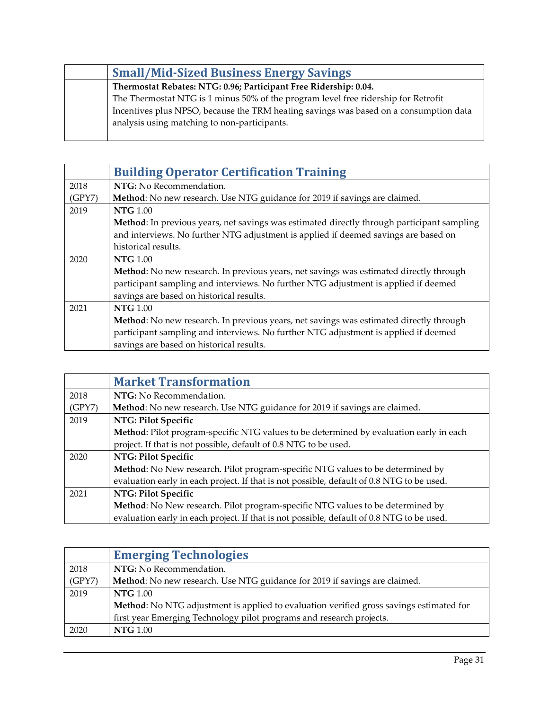| <b>Small/Mid-Sized Business Energy Savings</b>                                                                                        |
|---------------------------------------------------------------------------------------------------------------------------------------|
| Thermostat Rebates: NTG: 0.96; Participant Free Ridership: 0.04.                                                                      |
| The Thermostat NTG is 1 minus 50% of the program level free ridership for Retrofit                                                    |
| Incentives plus NPSO, because the TRM heating savings was based on a consumption data<br>analysis using matching to non-participants. |

<span id="page-30-0"></span>

|        | <b>Building Operator Certification Training</b>                                            |
|--------|--------------------------------------------------------------------------------------------|
| 2018   | NTG: No Recommendation.                                                                    |
| (GPY7) | Method: No new research. Use NTG guidance for 2019 if savings are claimed.                 |
| 2019   | <b>NTG</b> 1.00                                                                            |
|        | Method: In previous years, net savings was estimated directly through participant sampling |
|        | and interviews. No further NTG adjustment is applied if deemed savings are based on        |
|        | historical results.                                                                        |
| 2020   | <b>NTG</b> 1.00                                                                            |
|        | Method: No new research. In previous years, net savings was estimated directly through     |
|        | participant sampling and interviews. No further NTG adjustment is applied if deemed        |
|        | savings are based on historical results.                                                   |
| 2021   | <b>NTG</b> 1.00                                                                            |
|        | Method: No new research. In previous years, net savings was estimated directly through     |
|        | participant sampling and interviews. No further NTG adjustment is applied if deemed        |
|        | savings are based on historical results.                                                   |

<span id="page-30-1"></span>

|        | <b>Market Transformation</b>                                                              |
|--------|-------------------------------------------------------------------------------------------|
| 2018   | NTG: No Recommendation.                                                                   |
| (GPY7) | Method: No new research. Use NTG guidance for 2019 if savings are claimed.                |
| 2019   | NTG: Pilot Specific                                                                       |
|        | Method: Pilot program-specific NTG values to be determined by evaluation early in each    |
|        | project. If that is not possible, default of 0.8 NTG to be used.                          |
| 2020   | NTG: Pilot Specific                                                                       |
|        | Method: No New research. Pilot program-specific NTG values to be determined by            |
|        | evaluation early in each project. If that is not possible, default of 0.8 NTG to be used. |
| 2021   | NTG: Pilot Specific                                                                       |
|        | Method: No New research. Pilot program-specific NTG values to be determined by            |
|        | evaluation early in each project. If that is not possible, default of 0.8 NTG to be used. |

<span id="page-30-2"></span>

|        | <b>Emerging Technologies</b>                                                            |
|--------|-----------------------------------------------------------------------------------------|
| 2018   | NTG: No Recommendation.                                                                 |
| (GPY7) | Method: No new research. Use NTG guidance for 2019 if savings are claimed.              |
| 2019   | <b>NTG</b> 1.00                                                                         |
|        | Method: No NTG adjustment is applied to evaluation verified gross savings estimated for |
|        | first year Emerging Technology pilot programs and research projects.                    |
| 2020   | <b>NTG</b> 1.00                                                                         |